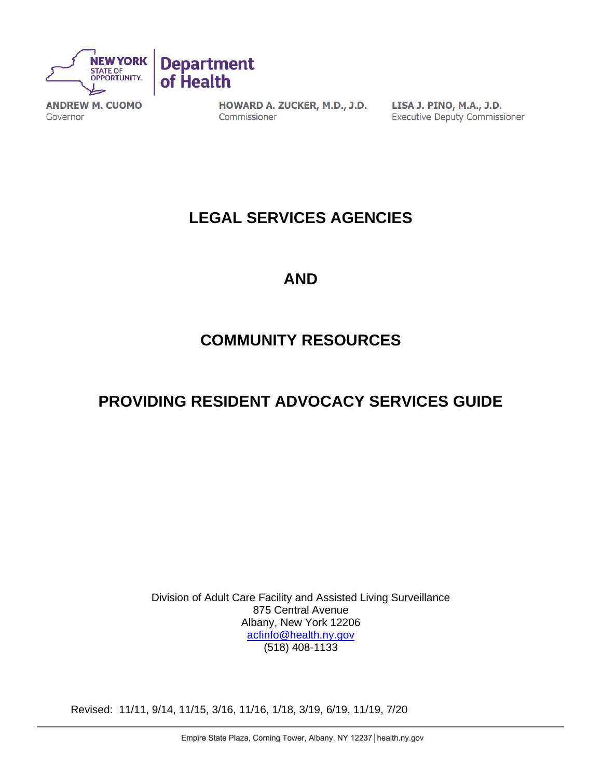

**ANDREW M. CUOMO** Governor

HOWARD A. ZUCKER, M.D., J.D. Commissioner

LISA J. PINO, M.A., J.D. **Executive Deputy Commissioner** 

# **LEGAL SERVICES AGENCIES**

## **AND**

# **COMMUNITY RESOURCES**

# **PROVIDING RESIDENT ADVOCACY SERVICES GUIDE**

Division of Adult Care Facility and Assisted Living Surveillance 875 Central Avenue Albany, New York 12206 [acfinfo@health.ny.gov](mailto:acfinfo@health.ny.gov) (518) 408-1133

Revised: 11/11, 9/14, 11/15, 3/16, 11/16, 1/18, 3/19, 6/19, 11/19, 7/20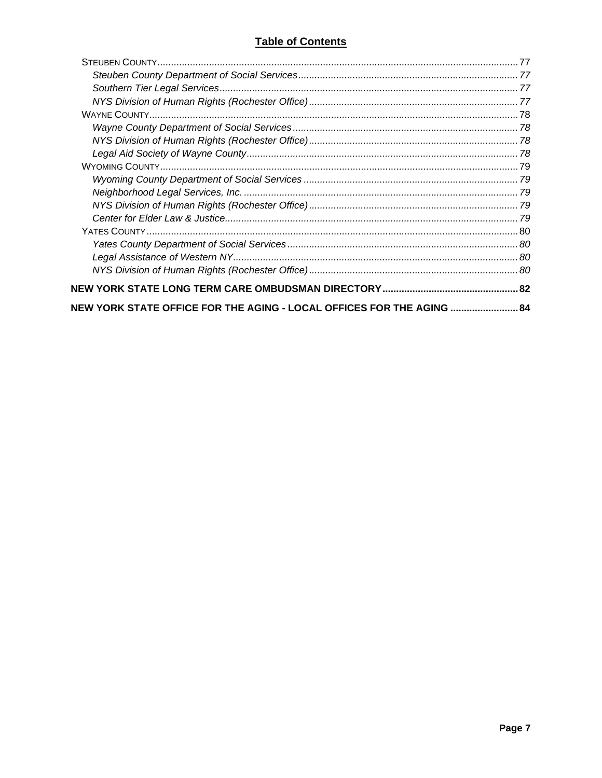| NEW YORK STATE OFFICE FOR THE AGING - LOCAL OFFICES FOR THE AGING  84 |  |
|-----------------------------------------------------------------------|--|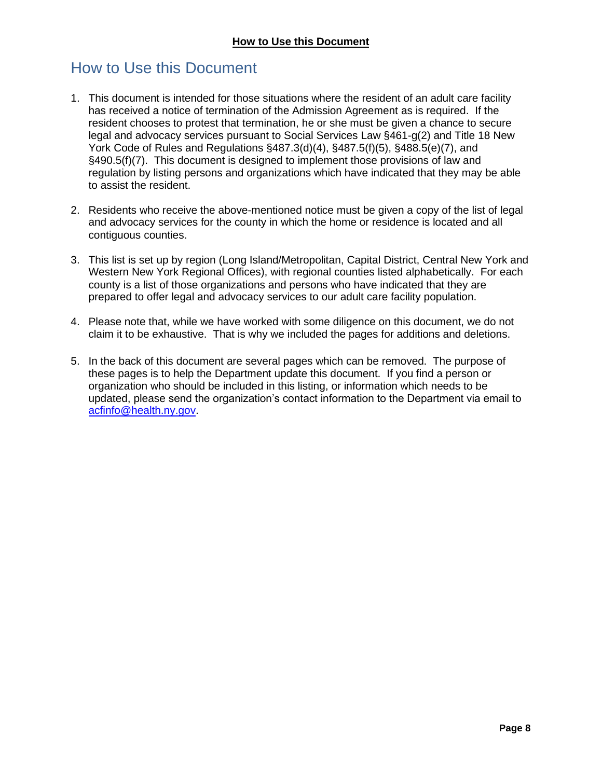## <span id="page-7-0"></span>How to Use this Document

- 1. This document is intended for those situations where the resident of an adult care facility has received a notice of termination of the Admission Agreement as is required. If the resident chooses to protest that termination, he or she must be given a chance to secure legal and advocacy services pursuant to Social Services Law §461-g(2) and Title 18 New York Code of Rules and Regulations §487.3(d)(4), §487.5(f)(5), §488.5(e)(7), and §490.5(f)(7). This document is designed to implement those provisions of law and regulation by listing persons and organizations which have indicated that they may be able to assist the resident.
- 2. Residents who receive the above-mentioned notice must be given a copy of the list of legal and advocacy services for the county in which the home or residence is located and all contiguous counties.
- 3. This list is set up by region (Long Island/Metropolitan, Capital District, Central New York and Western New York Regional Offices), with regional counties listed alphabetically. For each county is a list of those organizations and persons who have indicated that they are prepared to offer legal and advocacy services to our adult care facility population.
- 4. Please note that, while we have worked with some diligence on this document, we do not claim it to be exhaustive. That is why we included the pages for additions and deletions.
- 5. In the back of this document are several pages which can be removed. The purpose of these pages is to help the Department update this document. If you find a person or organization who should be included in this listing, or information which needs to be updated, please send the organization's contact information to the Department via email to [acfinfo@health.ny.gov.](mailto:acfinfo@health.ny.gov)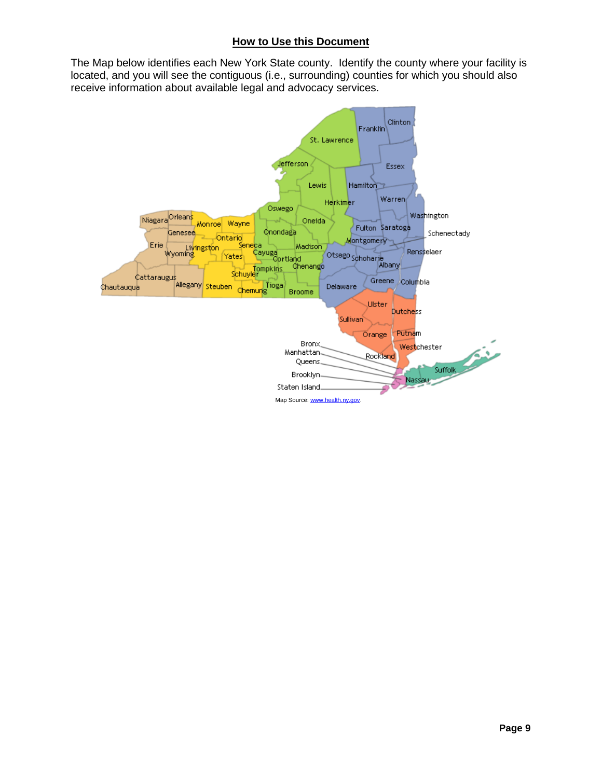#### **How to Use this Document**

The Map below identifies each New York State county. Identify the county where your facility is located, and you will see the contiguous (i.e., surrounding) counties for which you should also receive information about available legal and advocacy services.

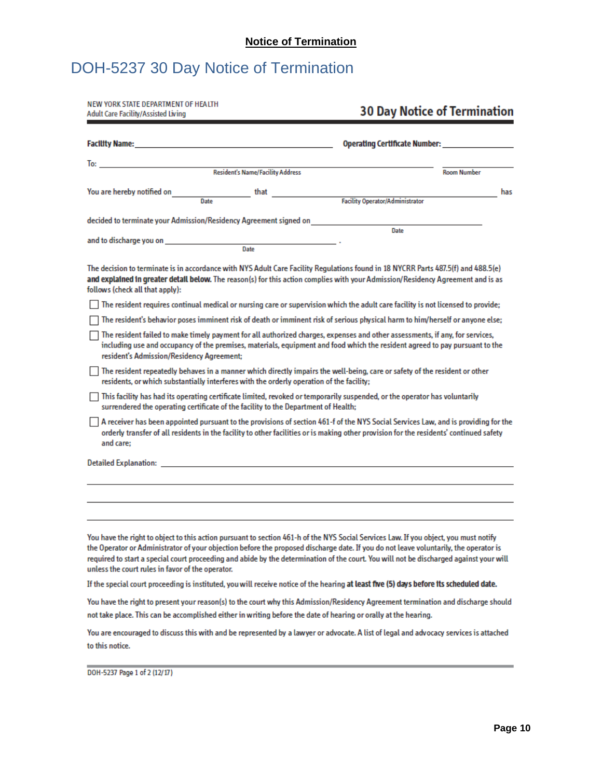# <span id="page-9-0"></span>DOH-5237 30 Day Notice of Termination

| NEW YORK STATE DEPARTMENT OF HEALTH<br><b>Adult Care Facility/Assisted Living</b>                                                                                                                                                                                                                                                                                                                                                                                          |                                  |                                                                                                                                                                                                                                                                              | <b>30 Day Notice of Termination</b>               |
|----------------------------------------------------------------------------------------------------------------------------------------------------------------------------------------------------------------------------------------------------------------------------------------------------------------------------------------------------------------------------------------------------------------------------------------------------------------------------|----------------------------------|------------------------------------------------------------------------------------------------------------------------------------------------------------------------------------------------------------------------------------------------------------------------------|---------------------------------------------------|
| <b>Facility Name: Example 2020 Contract 2020 Contract 2020</b>                                                                                                                                                                                                                                                                                                                                                                                                             |                                  |                                                                                                                                                                                                                                                                              | Operating Certificate Number: ___________________ |
| To: the contract of the contract of the contract of the contract of the contract of the contract of the contract of the contract of the contract of the contract of the contract of the contract of the contract of the contra                                                                                                                                                                                                                                             |                                  |                                                                                                                                                                                                                                                                              |                                                   |
|                                                                                                                                                                                                                                                                                                                                                                                                                                                                            | Resident's Name/Facility Address |                                                                                                                                                                                                                                                                              | <b>Room Number</b>                                |
| You are hereby notified on<br>Date                                                                                                                                                                                                                                                                                                                                                                                                                                         | that                             | Facility Operator/Administrator                                                                                                                                                                                                                                              | has                                               |
| decided to terminate your Admission/Residency Agreement signed on                                                                                                                                                                                                                                                                                                                                                                                                          |                                  |                                                                                                                                                                                                                                                                              |                                                   |
|                                                                                                                                                                                                                                                                                                                                                                                                                                                                            |                                  | Date                                                                                                                                                                                                                                                                         |                                                   |
| and to discharge you on <b>contract the set of the set of the set of the set of the set of the set of the set of</b>                                                                                                                                                                                                                                                                                                                                                       | Date                             |                                                                                                                                                                                                                                                                              |                                                   |
| The decision to terminate is in accordance with NYS Adult Care Facility Regulations found in 18 NYCRR Parts 487.5(f) and 488.5(e)<br>and explained in greater detail below. The reason(s) for this action complies with your Admission/Residency Agreement and is as<br>follows (check all that apply):                                                                                                                                                                    |                                  |                                                                                                                                                                                                                                                                              |                                                   |
| The resident requires continual medical or nursing care or supervision which the adult care facility is not licensed to provide;                                                                                                                                                                                                                                                                                                                                           |                                  |                                                                                                                                                                                                                                                                              |                                                   |
|                                                                                                                                                                                                                                                                                                                                                                                                                                                                            |                                  | The resident's behavior poses imminent risk of death or imminent risk of serious physical harm to him/herself or anyone else;                                                                                                                                                |                                                   |
| resident's Admission/Residency Agreement;                                                                                                                                                                                                                                                                                                                                                                                                                                  |                                  | The resident failed to make timely payment for all authorized charges, expenses and other assessments, if any, for services,<br>including use and occupancy of the premises, materials, equipment and food which the resident agreed to pay pursuant to the                  |                                                   |
| residents, or which substantially interferes with the orderly operation of the facility;                                                                                                                                                                                                                                                                                                                                                                                   |                                  | The resident repeatedly behaves in a manner which directly impairs the well-being, care or safety of the resident or other                                                                                                                                                   |                                                   |
| This facility has had its operating certificate limited, revoked or temporarily suspended, or the operator has voluntarily<br>surrendered the operating certificate of the facility to the Department of Health;                                                                                                                                                                                                                                                           |                                  |                                                                                                                                                                                                                                                                              |                                                   |
| and care:                                                                                                                                                                                                                                                                                                                                                                                                                                                                  |                                  | A receiver has been appointed pursuant to the provisions of section 461-f of the NYS Social Services Law, and is providing for the<br>orderly transfer of all residents in the facility to other facilities or is making other provision for the residents' continued safety |                                                   |
|                                                                                                                                                                                                                                                                                                                                                                                                                                                                            |                                  |                                                                                                                                                                                                                                                                              |                                                   |
|                                                                                                                                                                                                                                                                                                                                                                                                                                                                            |                                  |                                                                                                                                                                                                                                                                              |                                                   |
|                                                                                                                                                                                                                                                                                                                                                                                                                                                                            |                                  |                                                                                                                                                                                                                                                                              |                                                   |
|                                                                                                                                                                                                                                                                                                                                                                                                                                                                            |                                  |                                                                                                                                                                                                                                                                              |                                                   |
| You have the right to object to this action pursuant to section 461-h of the NYS Social Services Law. If you object, you must notify<br>the Operator or Administrator of your objection before the proposed discharge date. If you do not leave voluntarily, the operator is<br>required to start a special court proceeding and abide by the determination of the court. You will not be discharged against your will<br>unless the court rules in favor of the operator. |                                  |                                                                                                                                                                                                                                                                              |                                                   |
| If the special court proceeding is instituted, you will receive notice of the hearing at least five (5) days before its scheduled date.                                                                                                                                                                                                                                                                                                                                    |                                  |                                                                                                                                                                                                                                                                              |                                                   |
| You have the right to present your reason(s) to the court why this Admission/Residency Agreement termination and discharge should<br>not take place. This can be accomplished either in writing before the date of hearing or orally at the hearing.                                                                                                                                                                                                                       |                                  |                                                                                                                                                                                                                                                                              |                                                   |

You are encouraged to discuss this with and be represented by a lawyer or advocate. A list of legal and advocacy services is attached to this notice.

DOH-5237 Page 1 of 2 (12/17)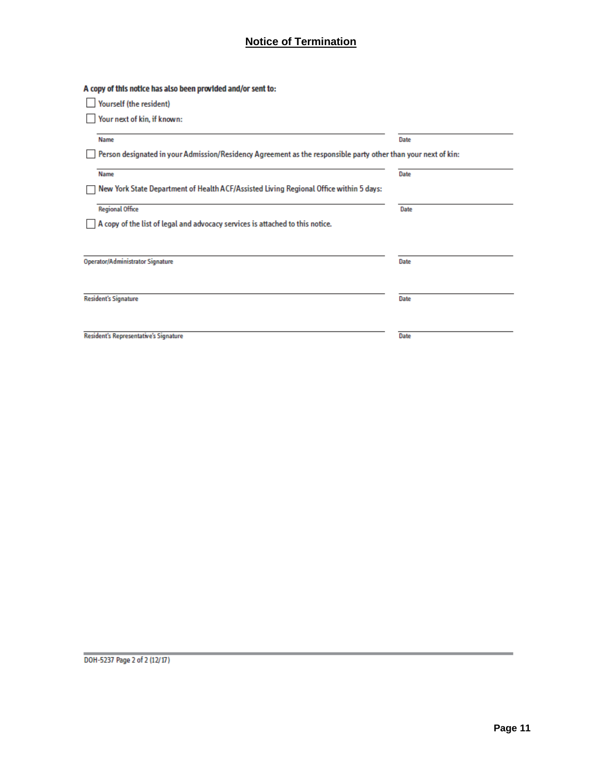## **Notice of Termination**

| A copy of this notice has also been provided and/or sent to:                                                  |      |
|---------------------------------------------------------------------------------------------------------------|------|
| Yourself (the resident)                                                                                       |      |
| Your next of kin, if known:                                                                                   |      |
| <b>Name</b>                                                                                                   | Date |
| Person designated in your Admission/Residency Agreement as the responsible party other than your next of kin: |      |
| <b>Name</b>                                                                                                   | Date |
| New York State Department of Health ACF/Assisted Living Regional Office within 5 days:                        |      |
| <b>Regional Office</b>                                                                                        | Date |
| A copy of the list of legal and advocacy services is attached to this notice.                                 |      |
|                                                                                                               |      |
| <b>Operator/Administrator Signature</b>                                                                       | Date |
|                                                                                                               |      |
| <b>Resident's Signature</b>                                                                                   | Date |
|                                                                                                               |      |
| <b>Resident's Representative's Signature</b>                                                                  | Date |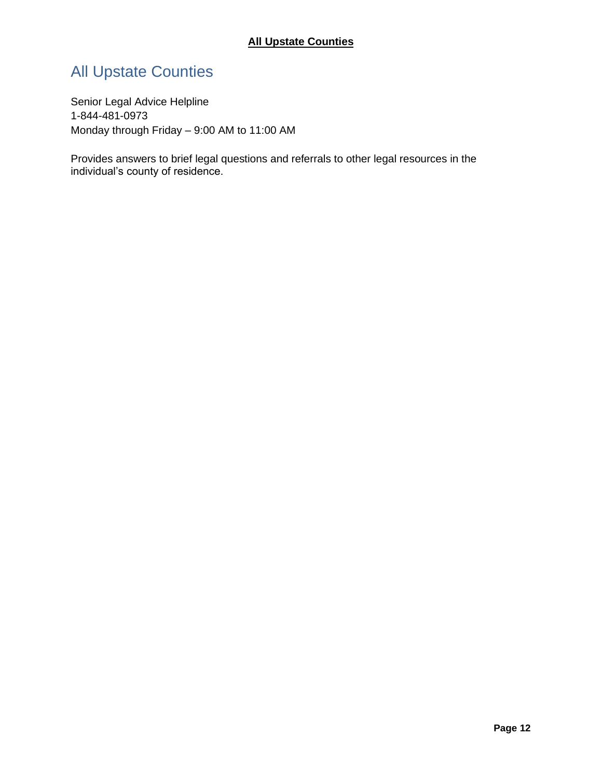# <span id="page-11-0"></span>All Upstate Counties

Senior Legal Advice Helpline 1-844-481-0973 Monday through Friday – 9:00 AM to 11:00 AM

Provides answers to brief legal questions and referrals to other legal resources in the individual's county of residence.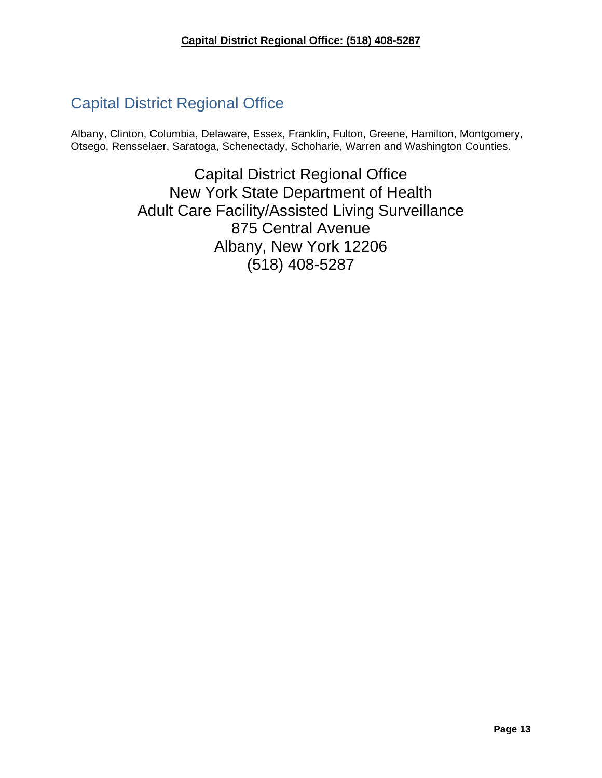# <span id="page-12-0"></span>Capital District Regional Office

Albany, Clinton, Columbia, Delaware, Essex, Franklin, Fulton, Greene, Hamilton, Montgomery, Otsego, Rensselaer, Saratoga, Schenectady, Schoharie, Warren and Washington Counties.

> Capital District Regional Office New York State Department of Health Adult Care Facility/Assisted Living Surveillance 875 Central Avenue Albany, New York 12206 (518) 408-5287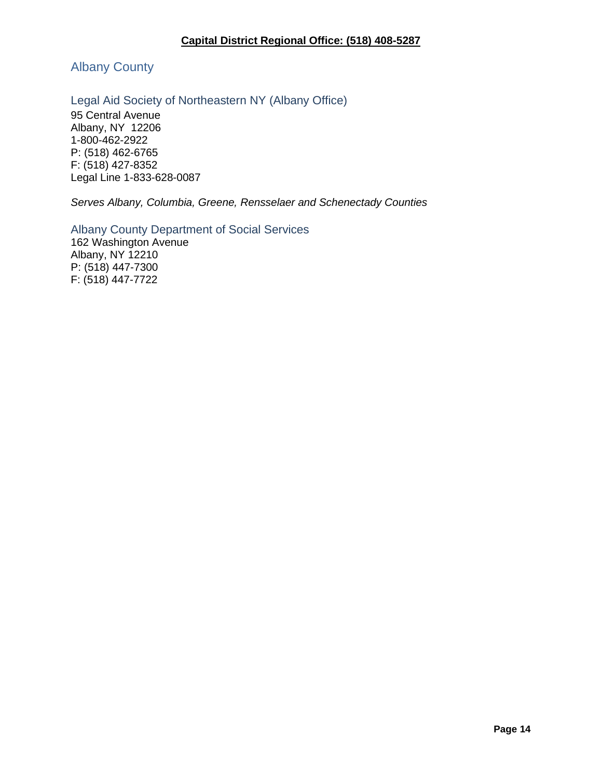<span id="page-13-0"></span>Albany County

<span id="page-13-1"></span>Legal Aid Society of Northeastern NY (Albany Office)

95 Central Avenue Albany, NY 12206 1-800-462-2922 P: (518) 462-6765 F: (518) 427-8352 Legal Line 1-833-628-0087

*Serves Albany, Columbia, Greene, Rensselaer and Schenectady Counties*

<span id="page-13-2"></span>Albany County Department of Social Services 162 Washington Avenue

Albany, NY 12210 P: (518) 447-7300 F: (518) 447-7722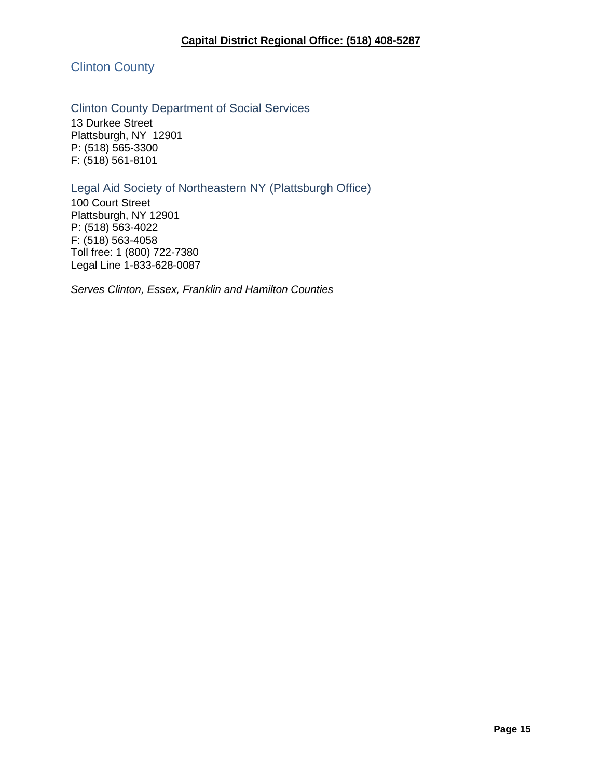<span id="page-14-0"></span>Clinton County

#### <span id="page-14-1"></span>Clinton County Department of Social Services

13 Durkee Street Plattsburgh, NY 12901 P: (518) 565-3300 F: (518) 561-8101

### <span id="page-14-2"></span>Legal Aid Society of Northeastern NY (Plattsburgh Office)

100 Court Street Plattsburgh, NY 12901 P: (518) 563-4022 F: (518) 563-4058 Toll free: 1 (800) 722-7380 Legal Line 1-833-628-0087

*Serves Clinton, Essex, Franklin and Hamilton Counties*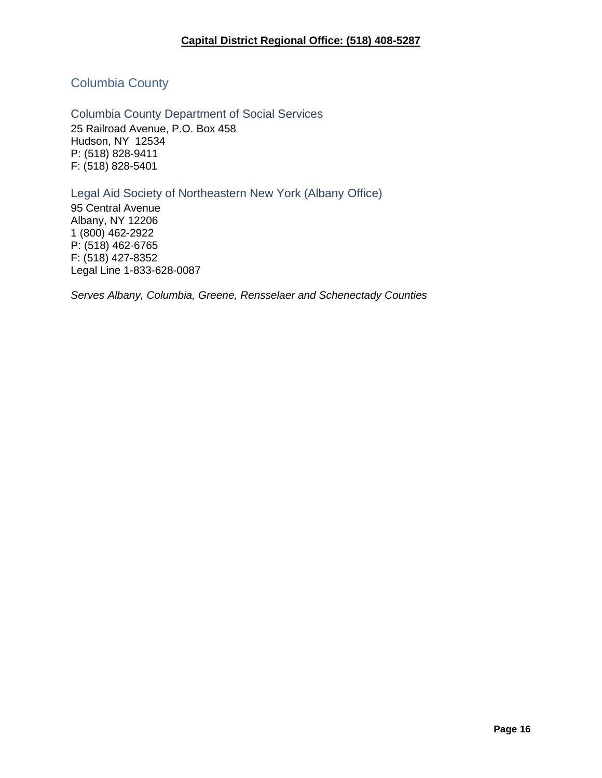## <span id="page-15-0"></span>Columbia County

<span id="page-15-1"></span>Columbia County Department of Social Services 25 Railroad Avenue, P.O. Box 458 Hudson, NY 12534 P: (518) 828-9411 F: (518) 828-5401

<span id="page-15-2"></span>Legal Aid Society of Northeastern New York (Albany Office)

95 Central Avenue Albany, NY 12206 1 (800) 462-2922 P: (518) 462-6765 F: (518) 427-8352 Legal Line 1-833-628-0087

*Serves Albany, Columbia, Greene, Rensselaer and Schenectady Counties*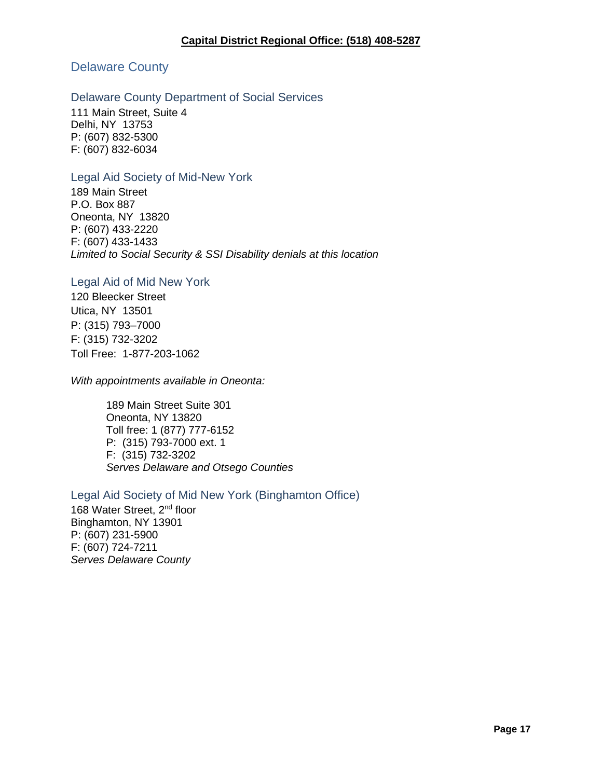### <span id="page-16-0"></span>Delaware County

#### <span id="page-16-1"></span>Delaware County Department of Social Services

111 Main Street, Suite 4 Delhi, NY 13753 P: (607) 832-5300 F: (607) 832-6034

#### <span id="page-16-2"></span>Legal Aid Society of Mid-New York

189 Main Street P.O. Box 887 Oneonta, NY 13820 P: (607) 433-2220 F: (607) 433-1433 *Limited to Social Security & SSI Disability denials at this location*

#### <span id="page-16-3"></span>Legal Aid of Mid New York

120 Bleecker Street Utica, NY 13501 P: (315) 793–7000 F: (315) 732-3202 Toll Free: 1-877-203-1062

*With appointments available in Oneonta:*

189 Main Street Suite 301 Oneonta, NY 13820 Toll free: 1 (877) 777-6152 P: (315) 793-7000 ext. 1 F: (315) 732-3202 *Serves Delaware and Otsego Counties*

#### <span id="page-16-4"></span>Legal Aid Society of Mid New York (Binghamton Office)

168 Water Street, 2<sup>nd</sup> floor Binghamton, NY 13901 P: (607) 231-5900 F: (607) 724-7211 *Serves Delaware County*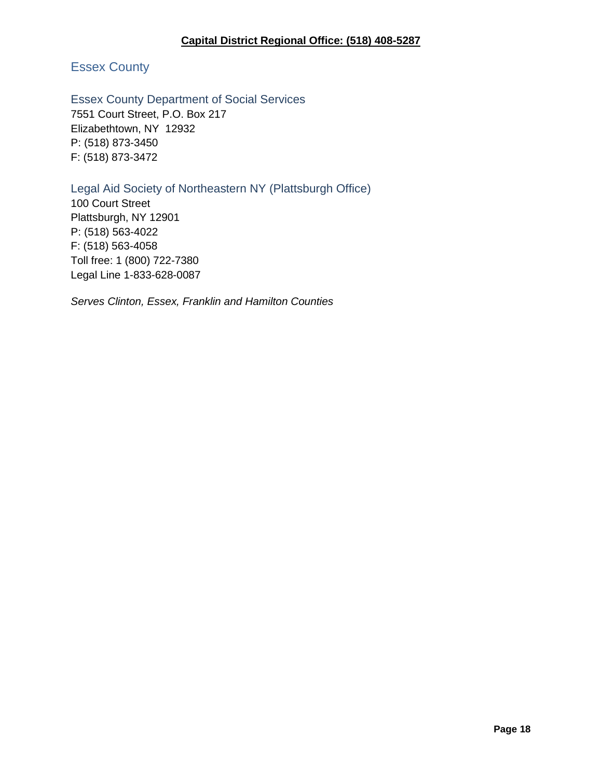#### **Capital District Regional Office: (518) 408-5287**

## <span id="page-17-0"></span>Essex County

## <span id="page-17-1"></span>Essex County Department of Social Services

7551 Court Street, P.O. Box 217 Elizabethtown, NY 12932 P: (518) 873-3450 F: (518) 873-3472

### <span id="page-17-2"></span>Legal Aid Society of Northeastern NY (Plattsburgh Office)

100 Court Street Plattsburgh, NY 12901 P: (518) 563-4022 F: (518) 563-4058 Toll free: 1 (800) 722-7380 Legal Line 1-833-628-0087

*Serves Clinton, Essex, Franklin and Hamilton Counties*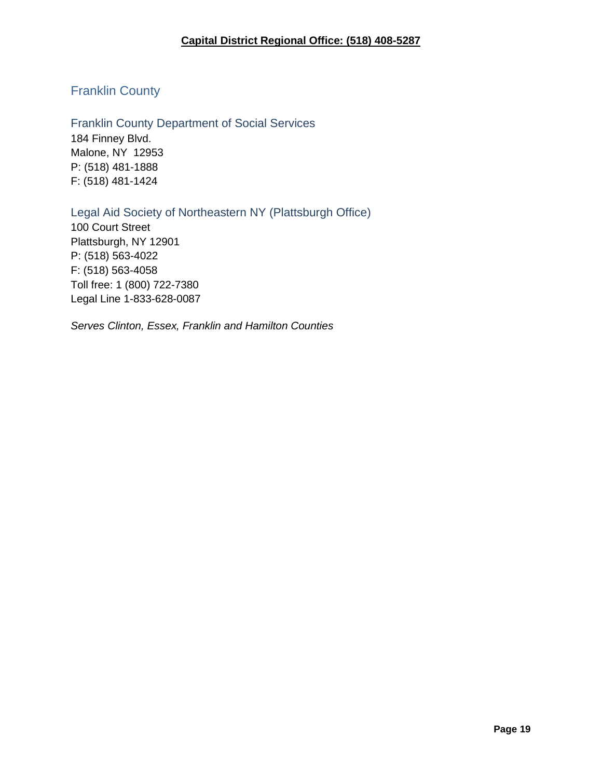## <span id="page-18-0"></span>Franklin County

<span id="page-18-1"></span>Franklin County Department of Social Services 184 Finney Blvd. Malone, NY 12953 P: (518) 481-1888 F: (518) 481-1424

<span id="page-18-2"></span>Legal Aid Society of Northeastern NY (Plattsburgh Office)

100 Court Street Plattsburgh, NY 12901 P: (518) 563-4022 F: (518) 563-4058 Toll free: 1 (800) 722-7380 Legal Line 1-833-628-0087

*Serves Clinton, Essex, Franklin and Hamilton Counties*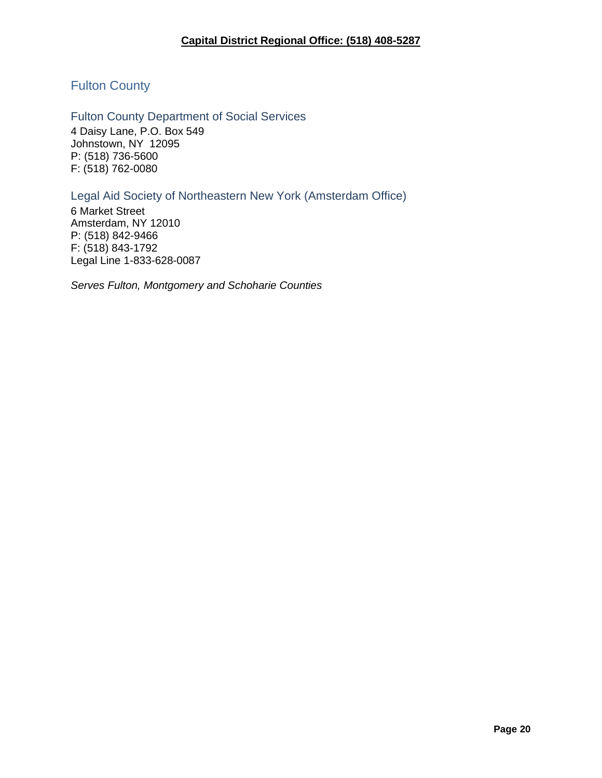## <span id="page-19-0"></span>Fulton County

<span id="page-19-1"></span>Fulton County Department of Social Services 4 Daisy Lane, P.O. Box 549 Johnstown, NY 12095 P: (518) 736-5600 F: (518) 762-0080

<span id="page-19-2"></span>Legal Aid Society of Northeastern New York (Amsterdam Office)

6 Market Street Amsterdam, NY 12010 P: (518) 842-9466 F: (518) 843-1792 Legal Line 1-833-628-0087

*Serves Fulton, Montgomery and Schoharie Counties*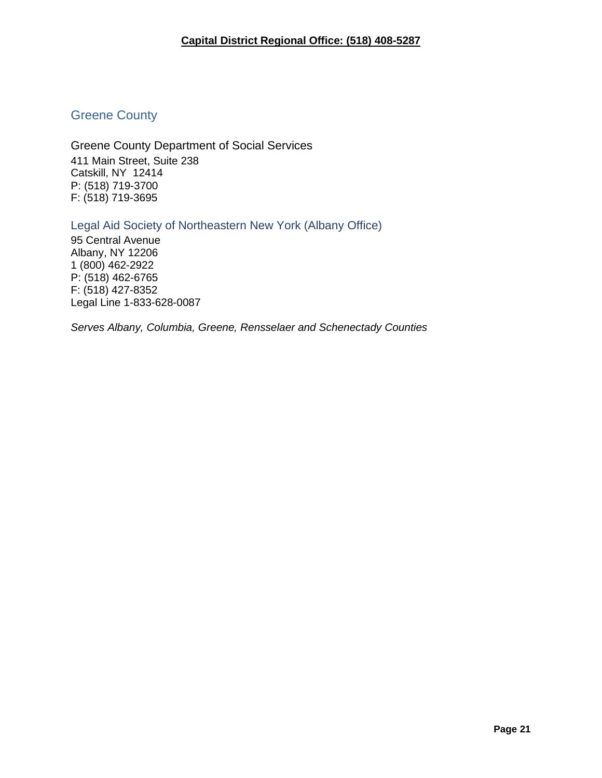## <span id="page-20-0"></span>Greene County

<span id="page-20-1"></span>Greene County Department of Social Services 411 Main Street, Suite 238 Catskill, NY 12414 P: (518) 719-3700 F: (518) 719-3695

<span id="page-20-2"></span>Legal Aid Society of Northeastern New York (Albany Office) 95 Central Avenue Albany, NY 12206 1 (800) 462-2922 P: (518) 462-6765 F: (518) 427-8352 Legal Line 1-833-628-0087

*Serves Albany, Columbia, Greene, Rensselaer and Schenectady Counties*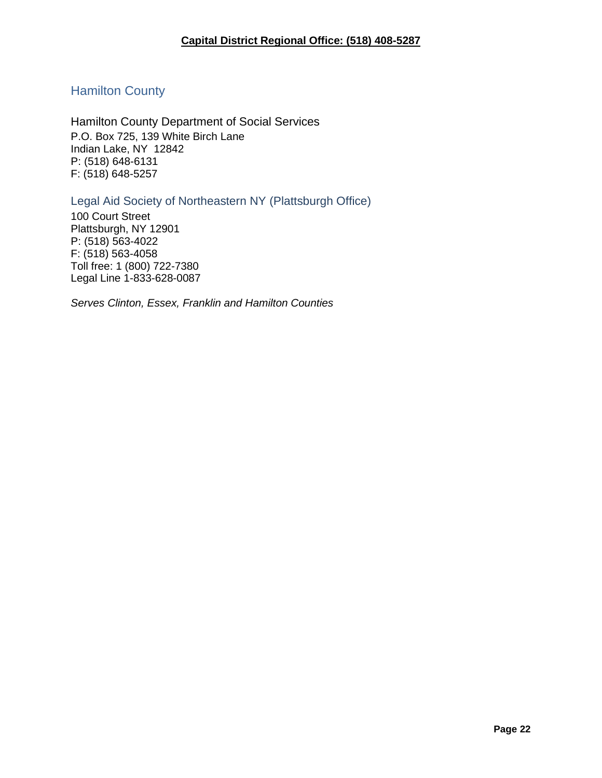## <span id="page-21-0"></span>Hamilton County

<span id="page-21-1"></span>Hamilton County Department of Social Services P.O. Box 725, 139 White Birch Lane Indian Lake, NY 12842 P: (518) 648-6131 F: (518) 648-5257

<span id="page-21-2"></span>Legal Aid Society of Northeastern NY (Plattsburgh Office)

100 Court Street Plattsburgh, NY 12901 P: (518) 563-4022 F: (518) 563-4058 Toll free: 1 (800) 722-7380 Legal Line 1-833-628-0087

*Serves Clinton, Essex, Franklin and Hamilton Counties*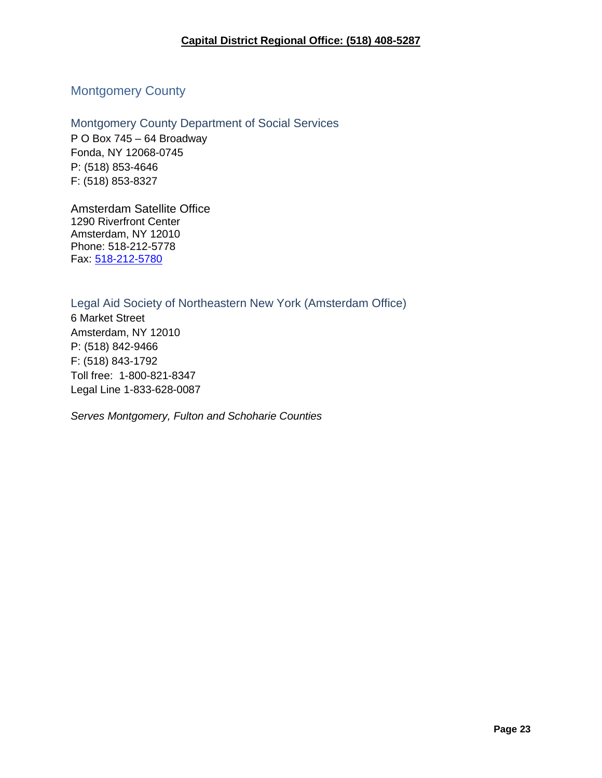## <span id="page-22-0"></span>Montgomery County

<span id="page-22-1"></span>Montgomery County Department of Social Services P O Box 745 – 64 Broadway Fonda, NY 12068-0745 P: (518) 853-4646 F: (518) 853-8327

<span id="page-22-2"></span>Amsterdam Satellite Office 1290 Riverfront Center Amsterdam, NY 12010 Phone: 518-212-5778 Fax: [518-212-5780](fax:1-518-212-5780)

#### Legal Aid Society of Northeastern New York (Amsterdam Office)

6 Market Street Amsterdam, NY 12010 P: (518) 842-9466 F: (518) 843-1792 Toll free: 1-800-821-8347 Legal Line 1-833-628-0087

*Serves Montgomery, Fulton and Schoharie Counties*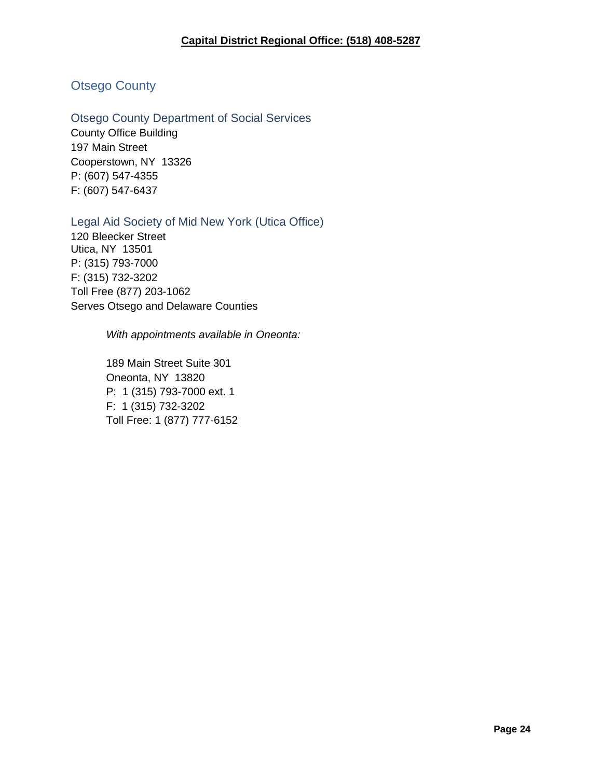## <span id="page-23-0"></span>Otsego County

<span id="page-23-1"></span>Otsego County Department of Social Services County Office Building 197 Main Street Cooperstown, NY 13326 P: (607) 547-4355

F: (607) 547-6437

<span id="page-23-2"></span>Legal Aid Society of Mid New York (Utica Office)

120 Bleecker Street Utica, NY 13501 P: (315) 793-7000 F: (315) 732-3202 Toll Free (877) 203-1062 Serves Otsego and Delaware Counties

*With appointments available in Oneonta:*

189 Main Street Suite 301 Oneonta, NY 13820 P: 1 (315) 793-7000 ext. 1 F: 1 (315) 732-3202 Toll Free: 1 (877) 777-6152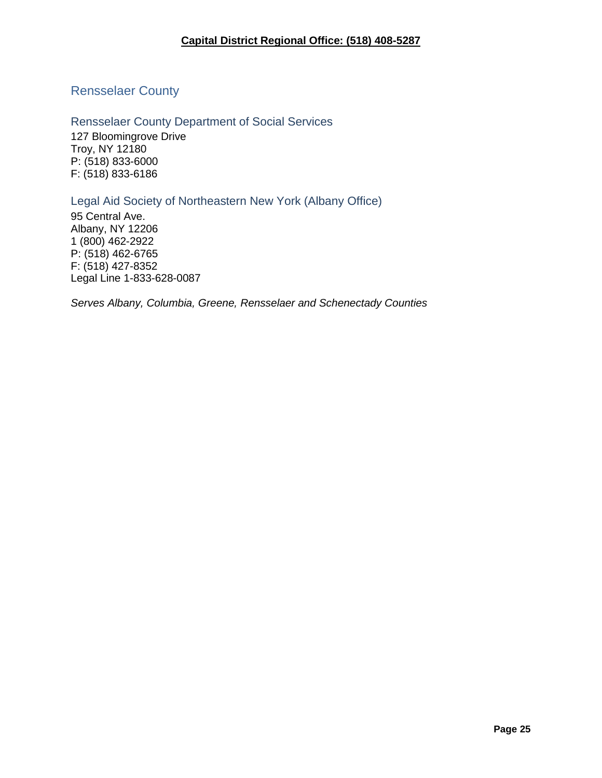<span id="page-24-0"></span>Rensselaer County

<span id="page-24-1"></span>Rensselaer County Department of Social Services 127 Bloomingrove Drive Troy, NY 12180 P: (518) 833-6000 F: (518) 833-6186

<span id="page-24-2"></span>Legal Aid Society of Northeastern New York (Albany Office)

95 Central Ave. Albany, NY 12206 1 (800) 462-2922 P: (518) 462-6765 F: (518) 427-8352 Legal Line 1-833-628-0087

*Serves Albany, Columbia, Greene, Rensselaer and Schenectady Counties*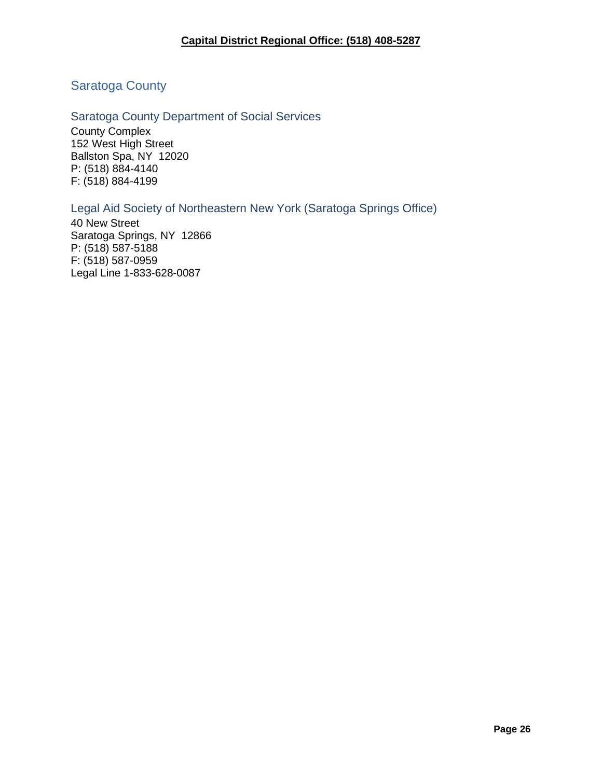#### **Capital District Regional Office: (518) 408-5287**

## <span id="page-25-0"></span>Saratoga County

#### <span id="page-25-1"></span>Saratoga County Department of Social Services

County Complex 152 West High Street Ballston Spa, NY 12020 P: (518) 884-4140 F: (518) 884-4199

#### <span id="page-25-2"></span>Legal Aid Society of Northeastern New York (Saratoga Springs Office)

40 New Street Saratoga Springs, NY 12866 P: (518) 587-5188 F: (518) 587-0959 Legal Line 1-833-628-0087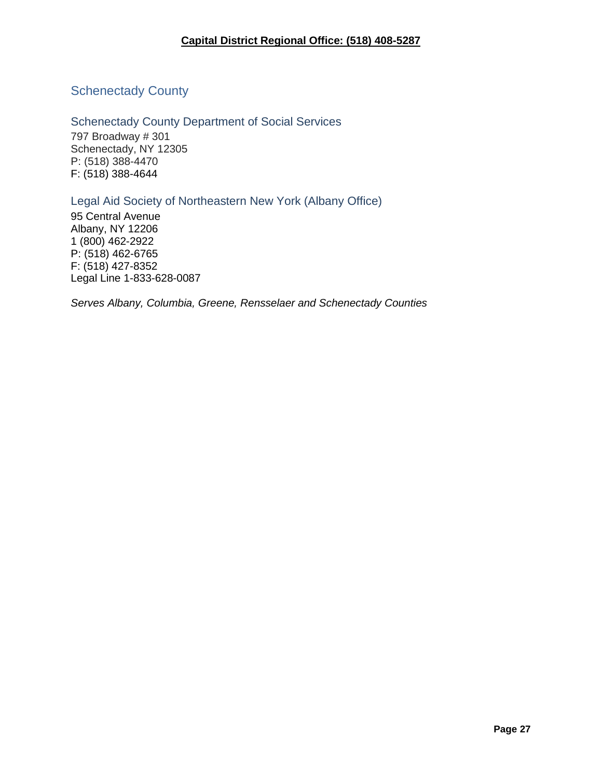## <span id="page-26-0"></span>**Schenectady County**

<span id="page-26-1"></span>Schenectady County Department of Social Services 797 Broadway # 301 Schenectady, NY 12305 P: (518) 388-4470 F: (518) 388-4644

<span id="page-26-2"></span>Legal Aid Society of Northeastern New York (Albany Office)

95 Central Avenue Albany, NY 12206 1 (800) 462-2922 P: (518) 462-6765 F: (518) 427-8352 Legal Line 1-833-628-0087

*Serves Albany, Columbia, Greene, Rensselaer and Schenectady Counties*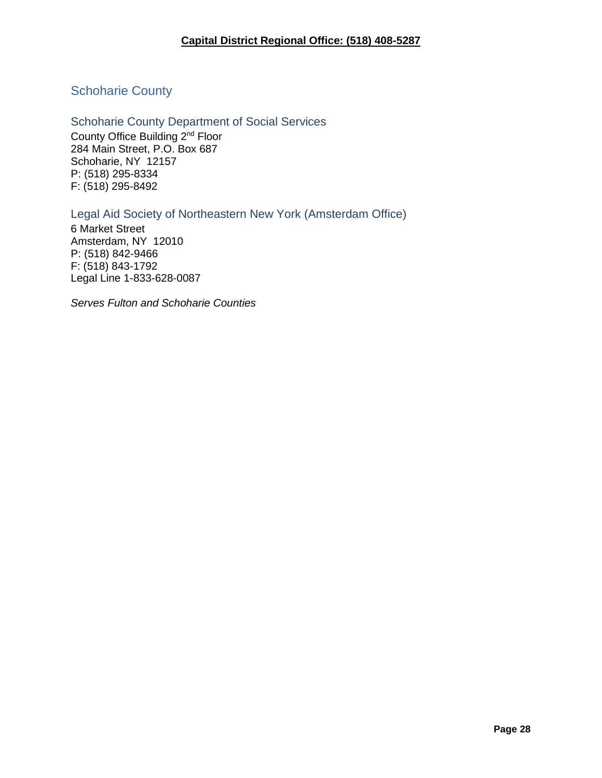## <span id="page-27-0"></span>Schoharie County

<span id="page-27-1"></span>Schoharie County Department of Social Services County Office Building 2nd Floor 284 Main Street, P.O. Box 687 Schoharie, NY 12157 P: (518) 295-8334 F: (518) 295-8492

<span id="page-27-2"></span>Legal Aid Society of Northeastern New York (Amsterdam Office)

6 Market Street Amsterdam, NY 12010 P: (518) 842-9466 F: (518) 843-1792 Legal Line 1-833-628-0087

*Serves Fulton and Schoharie Counties*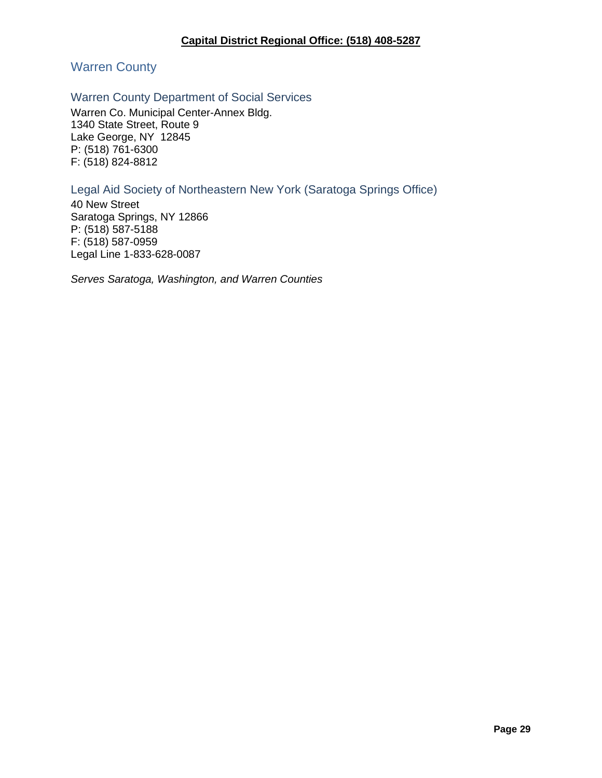<span id="page-28-0"></span>Warren County

#### <span id="page-28-1"></span>Warren County Department of Social Services

Warren Co. Municipal Center-Annex Bldg. 1340 State Street, Route 9 Lake George, NY 12845 P: (518) 761-6300 F: (518) 824-8812

#### <span id="page-28-2"></span>Legal Aid Society of Northeastern New York (Saratoga Springs Office)

40 New Street Saratoga Springs, NY 12866 P: (518) 587-5188 F: (518) 587-0959 Legal Line 1-833-628-0087

*Serves Saratoga, Washington, and Warren Counties*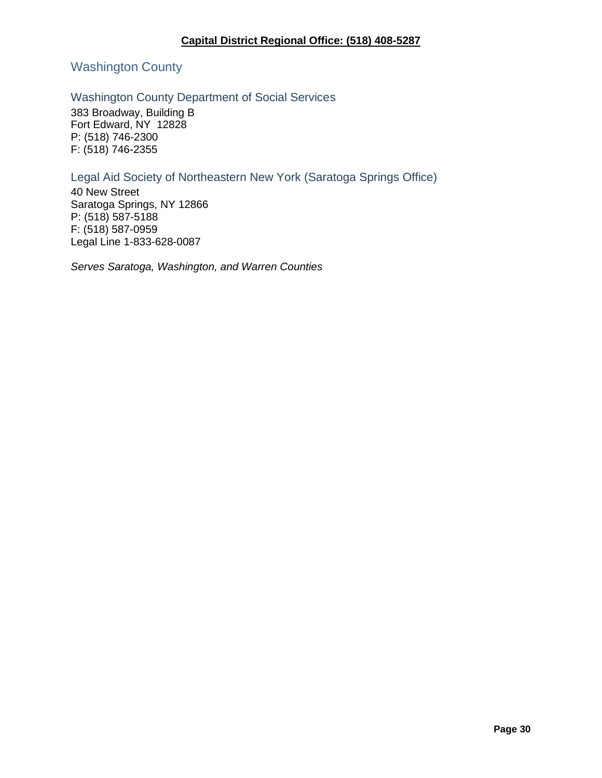## <span id="page-29-0"></span>Washington County

### <span id="page-29-1"></span>Washington County Department of Social Services

383 Broadway, Building B Fort Edward, NY 12828 P: (518) 746-2300 F: (518) 746-2355

### <span id="page-29-2"></span>Legal Aid Society of Northeastern New York (Saratoga Springs Office)

40 New Street Saratoga Springs, NY 12866 P: (518) 587-5188 F: (518) 587-0959 Legal Line 1-833-628-0087

*Serves Saratoga, Washington, and Warren Counties*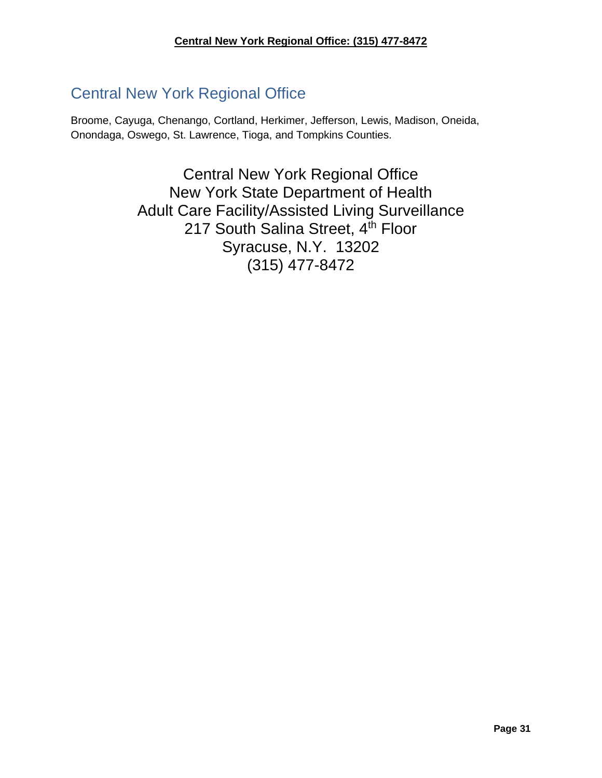# <span id="page-30-0"></span>Central New York Regional Office

Broome, Cayuga, Chenango, Cortland, Herkimer, Jefferson, Lewis, Madison, Oneida, Onondaga, Oswego, St. Lawrence, Tioga, and Tompkins Counties.

> Central New York Regional Office New York State Department of Health Adult Care Facility/Assisted Living Surveillance 217 South Salina Street, 4th Floor Syracuse, N.Y. 13202 (315) 477-8472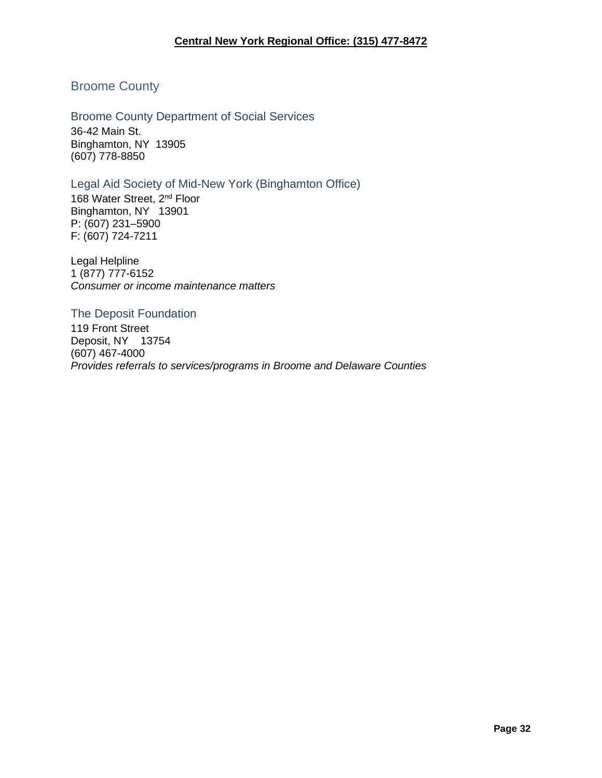### <span id="page-31-0"></span>Broome County

<span id="page-31-1"></span>Broome County Department of Social Services 36-42 Main St. Binghamton, NY 13905 (607) 778-8850

#### <span id="page-31-2"></span>Legal Aid Society of Mid-New York (Binghamton Office)

168 Water Street, 2<sup>nd</sup> Floor Binghamton, NY 13901 P: (607) 231–5900 F: (607) 724-7211

Legal Helpline 1 (877) 777-6152 *Consumer or income maintenance matters* 

#### <span id="page-31-3"></span>The Deposit Foundation

119 Front Street Deposit, NY 13754 (607) 467-4000 *Provides referrals to services/programs in Broome and Delaware Counties*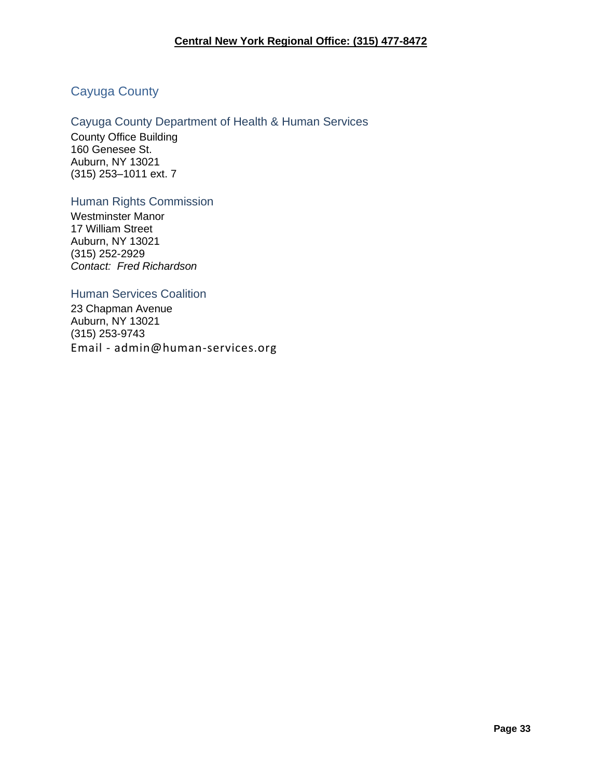## <span id="page-32-0"></span>Cayuga County

### <span id="page-32-1"></span>Cayuga County Department of Health & Human Services

County Office Building 160 Genesee St. Auburn, NY 13021 (315) 253–1011 ext. 7

#### <span id="page-32-2"></span>Human Rights Commission

Westminster Manor 17 William Street Auburn, NY 13021 (315) 252-2929 *Contact: Fred Richardson*

#### <span id="page-32-3"></span>Human Services Coalition

23 Chapman Avenue Auburn, NY 13021 (315) 253-9743 Email - admin@human-services.org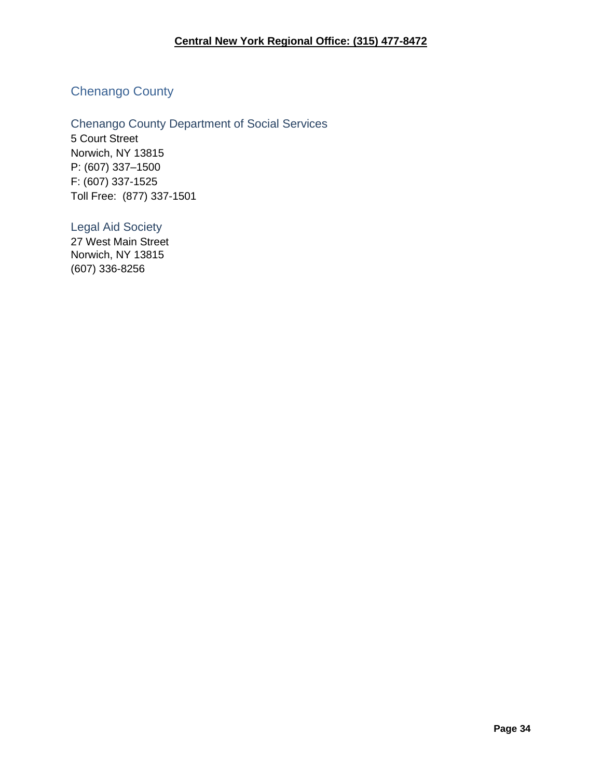## <span id="page-33-0"></span>Chenango County

<span id="page-33-1"></span>Chenango County Department of Social Services 5 Court Street Norwich, NY 13815 P: (607) 337–1500 F: (607) 337-1525 Toll Free: (877) 337-1501

<span id="page-33-2"></span>Legal Aid Society

27 West Main Street Norwich, NY 13815 (607) 336-8256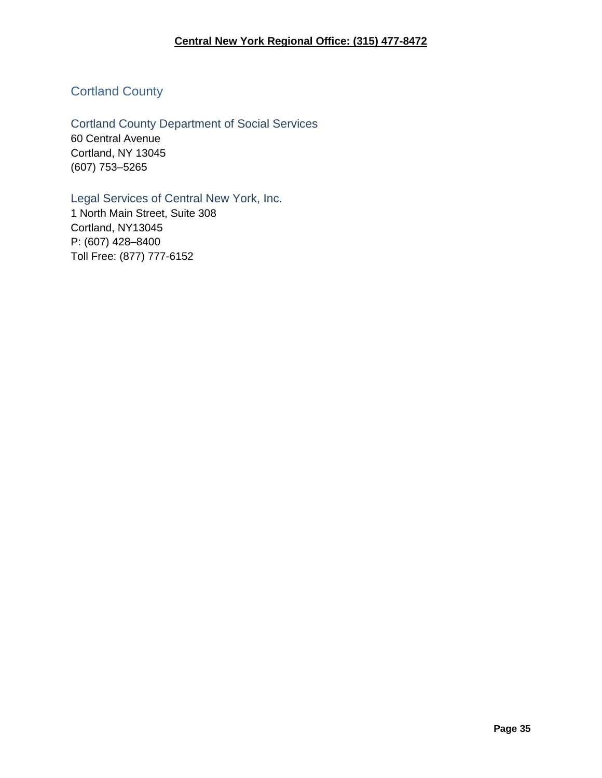## <span id="page-34-0"></span>Cortland County

<span id="page-34-1"></span>Cortland County Department of Social Services 60 Central Avenue Cortland, NY 13045 (607) 753–5265

<span id="page-34-2"></span>Legal Services of Central New York, Inc. 1 North Main Street, Suite 308 Cortland, NY13045

P: (607) 428–8400 Toll Free: (877) 777-6152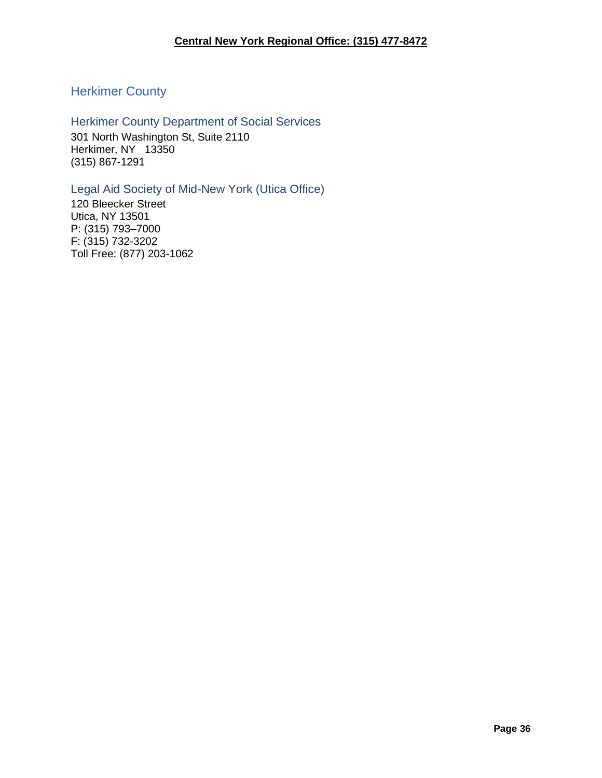## <span id="page-35-0"></span>Herkimer County

<span id="page-35-1"></span>Herkimer County Department of Social Services 301 North Washington St, Suite 2110 Herkimer, NY 13350 (315) 867-1291

### <span id="page-35-2"></span>Legal Aid Society of Mid-New York (Utica Office)

120 Bleecker Street Utica, NY 13501 P: (315) 793–7000 F: (315) 732-3202 Toll Free: (877) 203-1062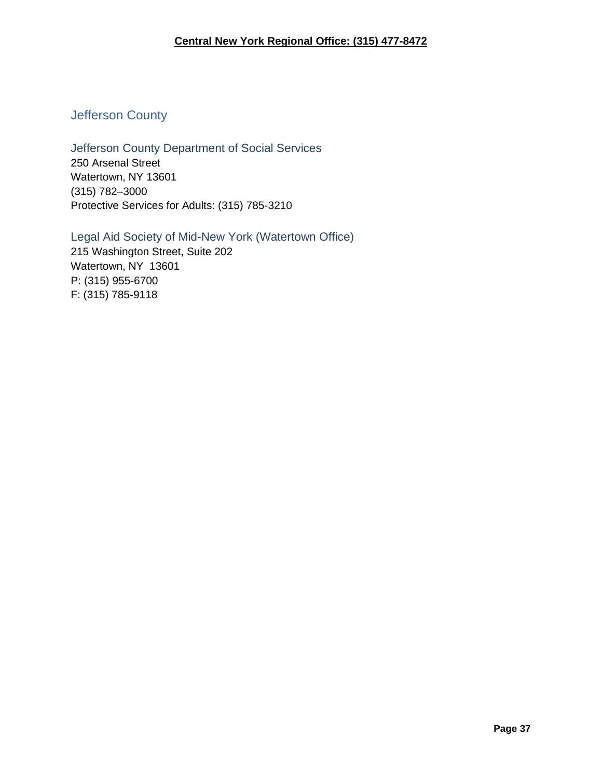## **Central New York Regional Office: (315) 477-8472**

# Jefferson County

# Jefferson County Department of Social Services 250 Arsenal Street

Watertown, NY 13601 (315) 782–3000 Protective Services for Adults: (315) 785-3210

## Legal Aid Society of Mid-New York (Watertown Office)

215 Washington Street, Suite 202 Watertown, NY 13601 P: (315) 955-6700 F: (315) 785-9118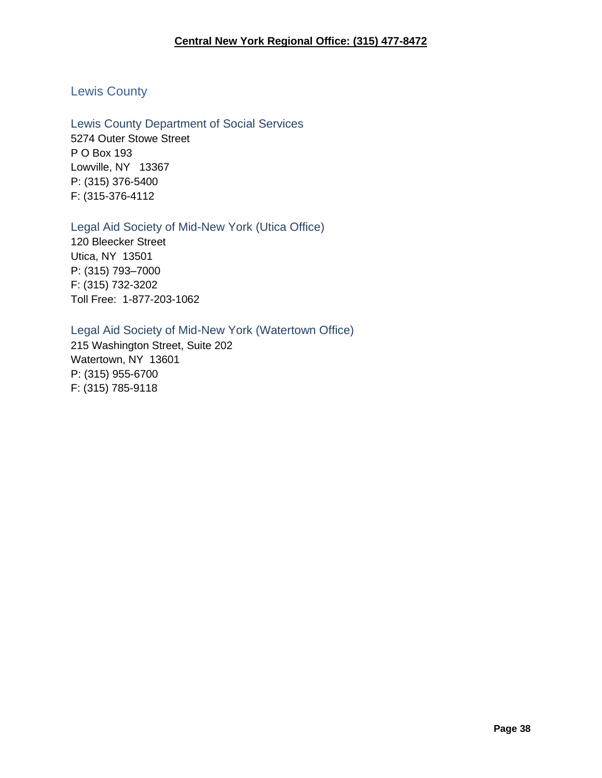# Lewis County

Lewis County Department of Social Services 5274 Outer Stowe Street P O Box 193 Lowville, NY 13367 P: (315) 376-5400 F: (315-376-4112

# Legal Aid Society of Mid-New York (Utica Office)

120 Bleecker Street Utica, NY 13501 P: (315) 793–7000 F: (315) 732-3202 Toll Free: 1-877-203-1062

# Legal Aid Society of Mid-New York (Watertown Office)

215 Washington Street, Suite 202 Watertown, NY 13601 P: (315) 955-6700 F: (315) 785-9118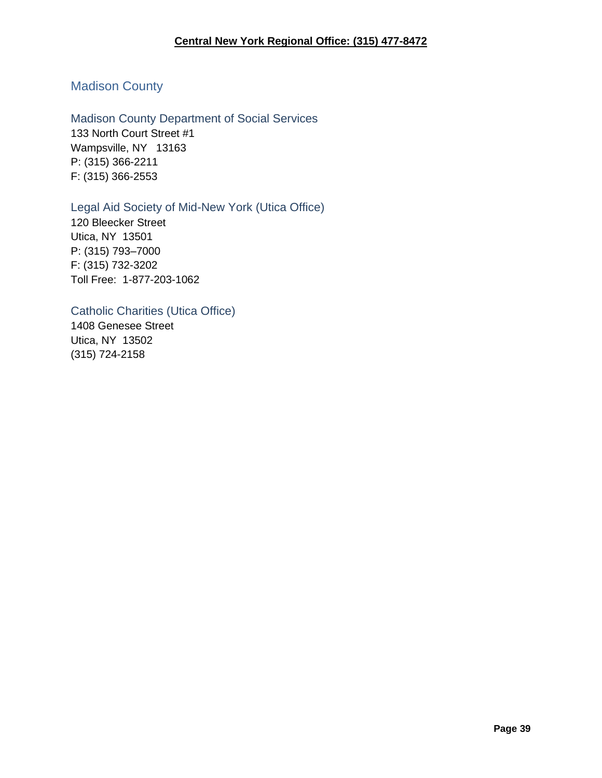# Madison County

Madison County Department of Social Services 133 North Court Street #1 Wampsville, NY 13163 P: (315) 366-2211 F: (315) 366-2553

# Legal Aid Society of Mid-New York (Utica Office)

120 Bleecker Street Utica, NY 13501 P: (315) 793–7000 F: (315) 732-3202 Toll Free: 1-877-203-1062

# Catholic Charities (Utica Office)

1408 Genesee Street Utica, NY 13502 (315) 724-2158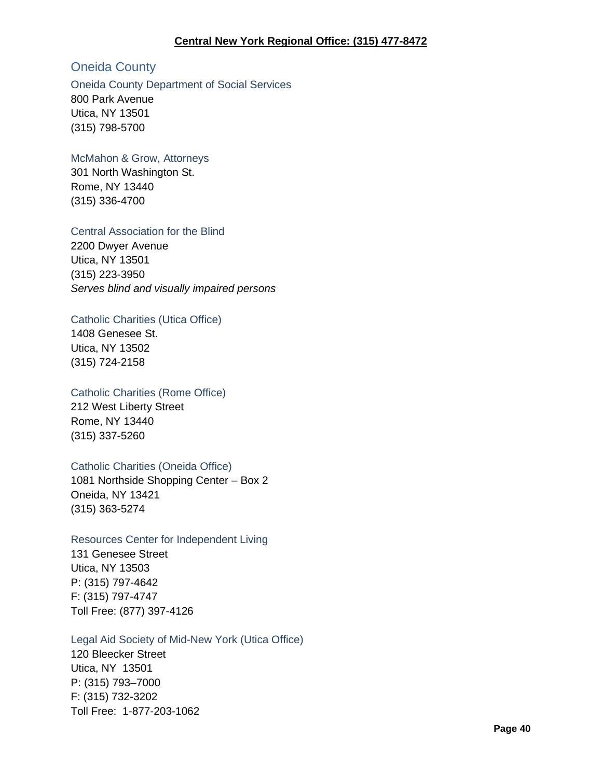#### **Central New York Regional Office: (315) 477-8472**

# Oneida County

#### Oneida County Department of Social Services

800 Park Avenue Utica, NY 13501 (315) 798-5700

#### McMahon & Grow, Attorneys

301 North Washington St. Rome, NY 13440 (315) 336-4700

#### Central Association for the Blind

2200 Dwyer Avenue Utica, NY 13501 (315) 223-3950 *Serves blind and visually impaired persons*

### Catholic Charities (Utica Office)

1408 Genesee St. Utica, NY 13502 (315) 724-2158

### Catholic Charities (Rome Office)

212 West Liberty Street Rome, NY 13440 (315) 337-5260

### Catholic Charities (Oneida Office)

1081 Northside Shopping Center – Box 2 Oneida, NY 13421 (315) 363-5274

### Resources Center for Independent Living

131 Genesee Street Utica, NY 13503 P: (315) 797-4642 F: (315) 797-4747 Toll Free: (877) 397-4126

#### Legal Aid Society of Mid-New York (Utica Office)

120 Bleecker Street Utica, NY 13501 P: (315) 793–7000 F: (315) 732-3202 Toll Free: 1-877-203-1062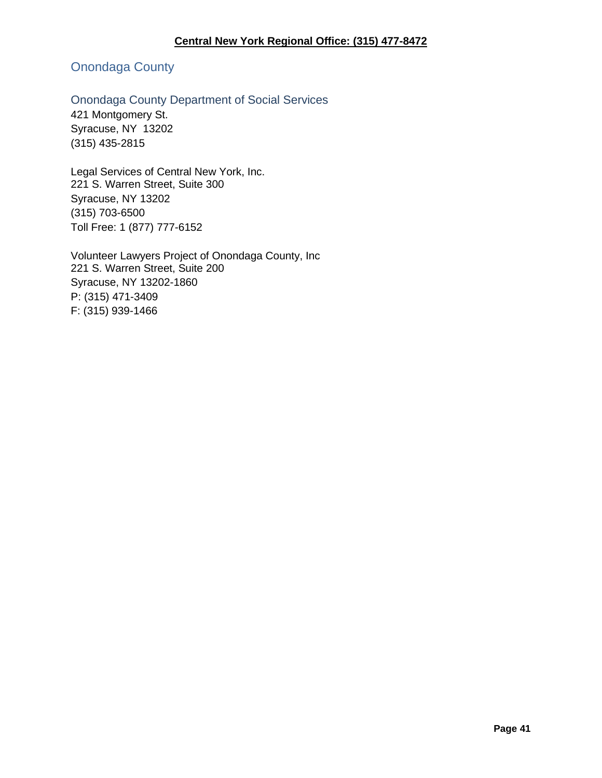# Onondaga County

# Onondaga County Department of Social Services

421 Montgomery St. Syracuse, NY 13202 (315) 435-2815

Legal Services of Central New York, Inc. 221 S. Warren Street, Suite 300 Syracuse, NY 13202 (315) 703-6500 Toll Free: 1 (877) 777-6152

Volunteer Lawyers Project of Onondaga County, Inc 221 S. Warren Street, Suite 200 Syracuse, NY 13202-1860 P: (315) 471-3409 F: (315) 939-1466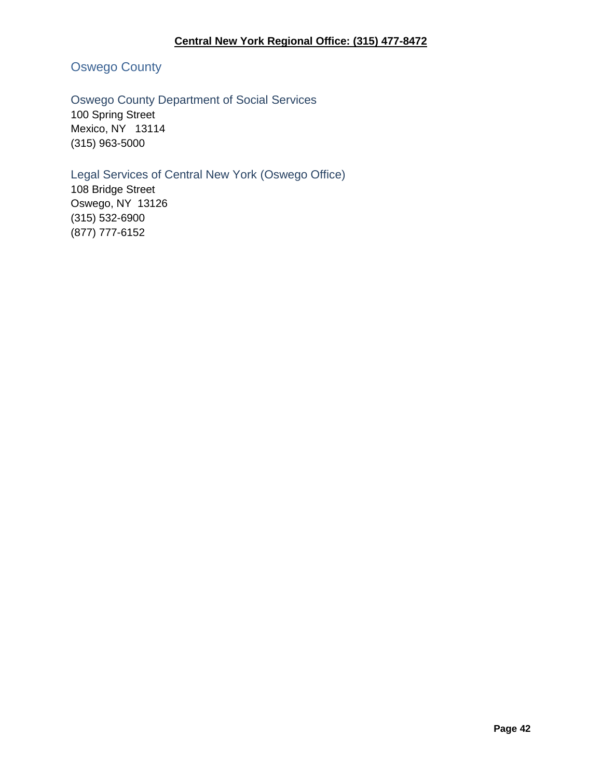# Oswego County

# Oswego County Department of Social Services

100 Spring Street Mexico, NY 13114 (315) 963-5000

# Legal Services of Central New York (Oswego Office)

108 Bridge Street Oswego, NY 13126 (315) 532-6900 (877) 777-6152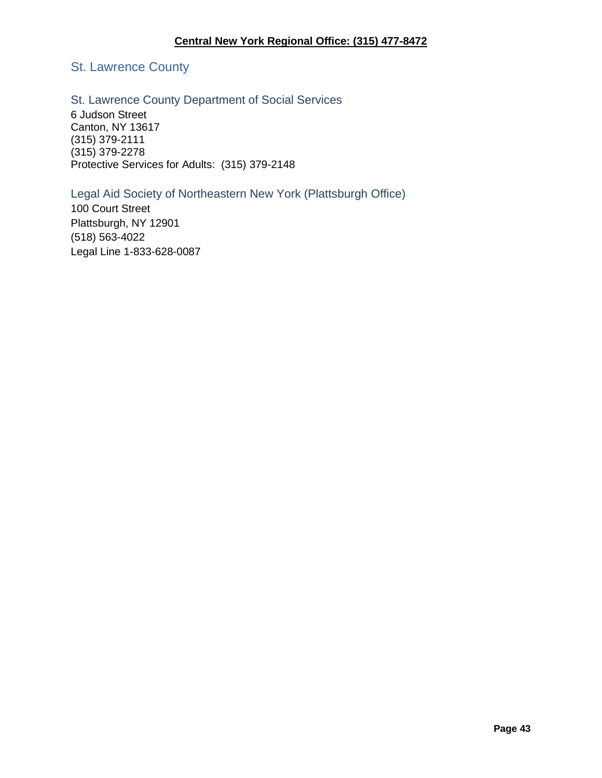# St. Lawrence County

## St. Lawrence County Department of Social Services

6 Judson Street Canton, NY 13617 (315) 379-2111 (315) 379-2278 Protective Services for Adults: (315) 379-2148

# Legal Aid Society of Northeastern New York (Plattsburgh Office)

100 Court Street Plattsburgh, NY 12901 (518) 563-4022 Legal Line 1-833-628-0087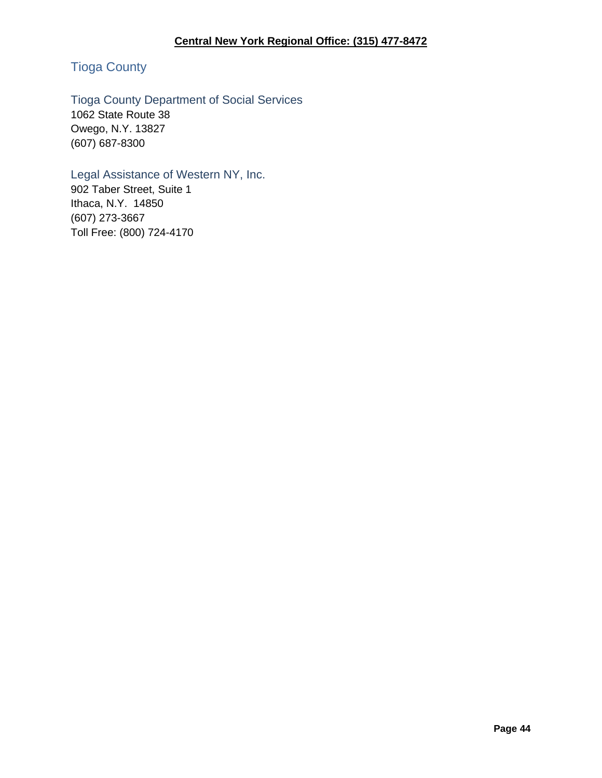# Tioga County

# Tioga County Department of Social Services

1062 State Route 38 Owego, N.Y. 13827 (607) 687-8300

# Legal Assistance of Western NY, Inc.

902 Taber Street, Suite 1 Ithaca, N.Y. 14850 (607) 273-3667 Toll Free: (800) 724-4170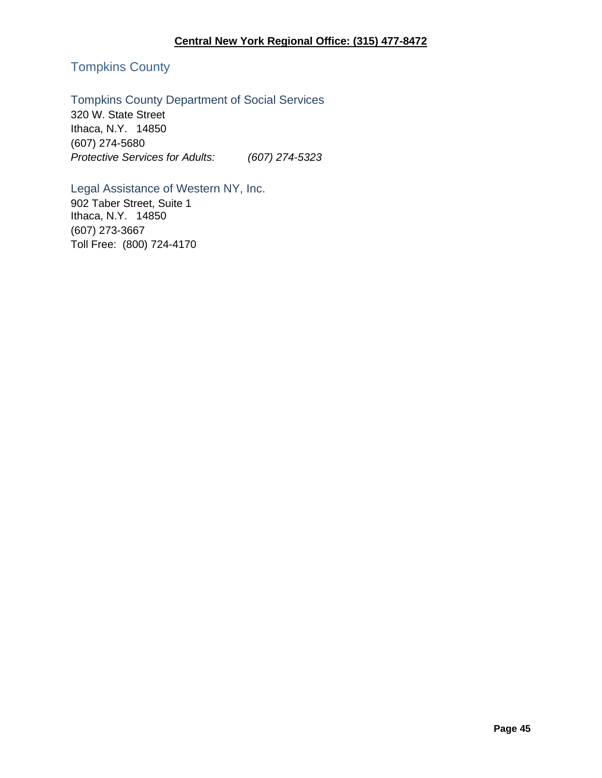## **Central New York Regional Office: (315) 477-8472**

# Tompkins County

# Tompkins County Department of Social Services

320 W. State Street Ithaca, N.Y. 14850 (607) 274-5680 *Protective Services for Adults: (607) 274-5323*

# Legal Assistance of Western NY, Inc.

902 Taber Street, Suite 1 Ithaca, N.Y. 14850 (607) 273-3667 Toll Free: (800) 724-4170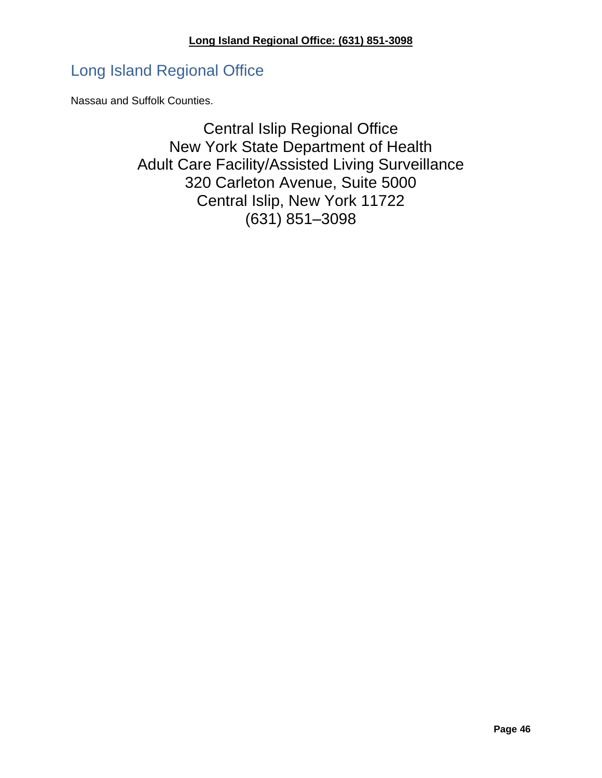# Long Island Regional Office

Nassau and Suffolk Counties.

Central Islip Regional Office New York State Department of Health Adult Care Facility/Assisted Living Surveillance 320 Carleton Avenue, Suite 5000 Central Islip, New York 11722 (631) 851–3098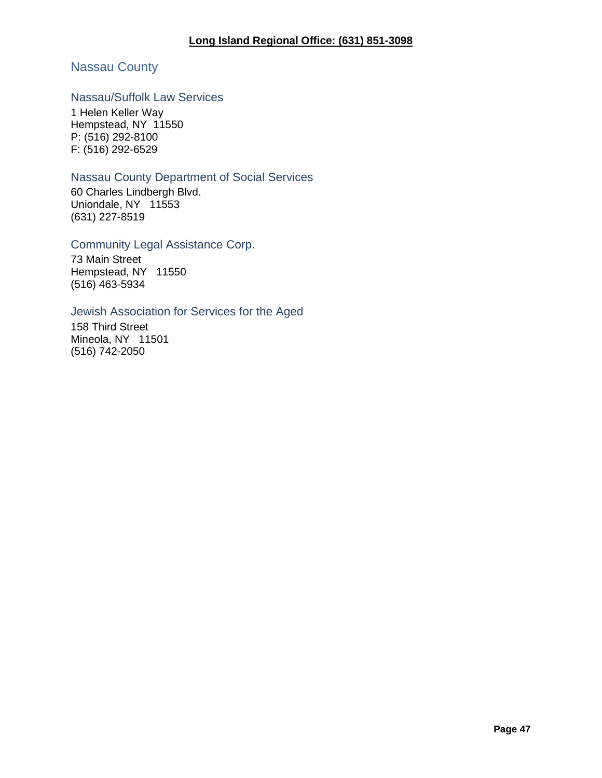# Nassau County

# Nassau/Suffolk Law Services

1 Helen Keller Way Hempstead, NY 11550 P: (516) 292-8100 F: (516) 292-6529

## Nassau County Department of Social Services

60 Charles Lindbergh Blvd. Uniondale, NY 11553 (631) 227-8519

### Community Legal Assistance Corp.

73 Main Street Hempstead, NY 11550 (516) 463-5934

### Jewish Association for Services for the Aged

158 Third Street Mineola, NY 11501 (516) 742-2050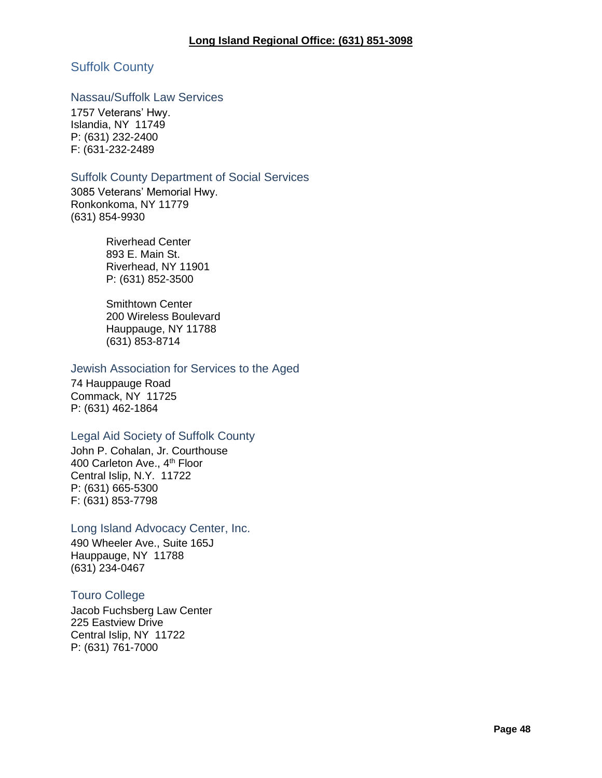# Suffolk County

#### Nassau/Suffolk Law Services

1757 Veterans' Hwy. Islandia, NY 11749 P: (631) 232-2400 F: (631-232-2489

#### Suffolk County Department of Social Services

3085 Veterans' Memorial Hwy. Ronkonkoma, NY 11779 (631) 854-9930

> Riverhead Center 893 E. Main St. Riverhead, NY 11901 P: (631) 852-3500

Smithtown Center 200 Wireless Boulevard Hauppauge, NY 11788 (631) 853-8714

### Jewish Association for Services to the Aged

74 Hauppauge Road Commack, NY 11725 P: (631) 462-1864

### Legal Aid Society of Suffolk County

John P. Cohalan, Jr. Courthouse 400 Carleton Ave., 4<sup>th</sup> Floor Central Islip, N.Y. 11722 P: (631) 665-5300 F: (631) 853-7798

### Long Island Advocacy Center, Inc.

490 Wheeler Ave., Suite 165J Hauppauge, NY 11788 (631) 234-0467

### Touro College

Jacob Fuchsberg Law Center 225 Eastview Drive Central Islip, NY 11722 P: (631) 761-7000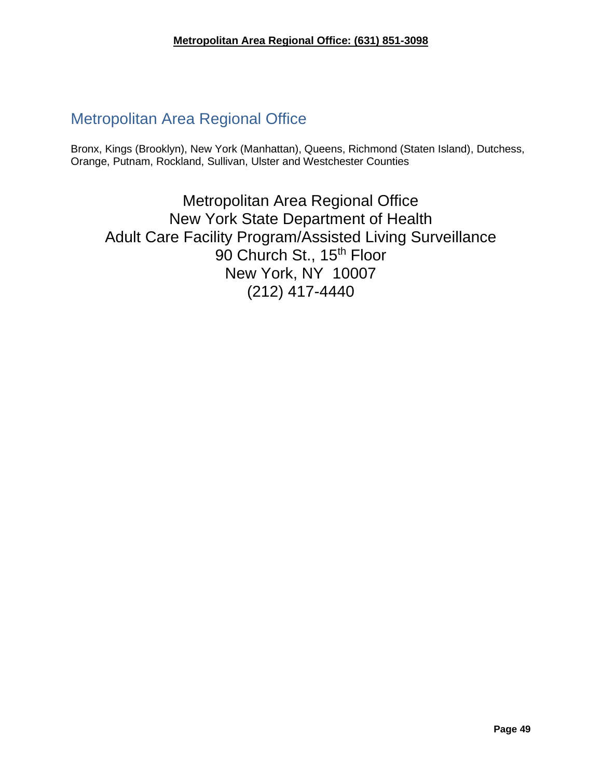# Metropolitan Area Regional Office

Bronx, Kings (Brooklyn), New York (Manhattan), Queens, Richmond (Staten Island), Dutchess, Orange, Putnam, Rockland, Sullivan, Ulster and Westchester Counties

Metropolitan Area Regional Office New York State Department of Health Adult Care Facility Program/Assisted Living Surveillance 90 Church St., 15<sup>th</sup> Floor New York, NY 10007 (212) 417-4440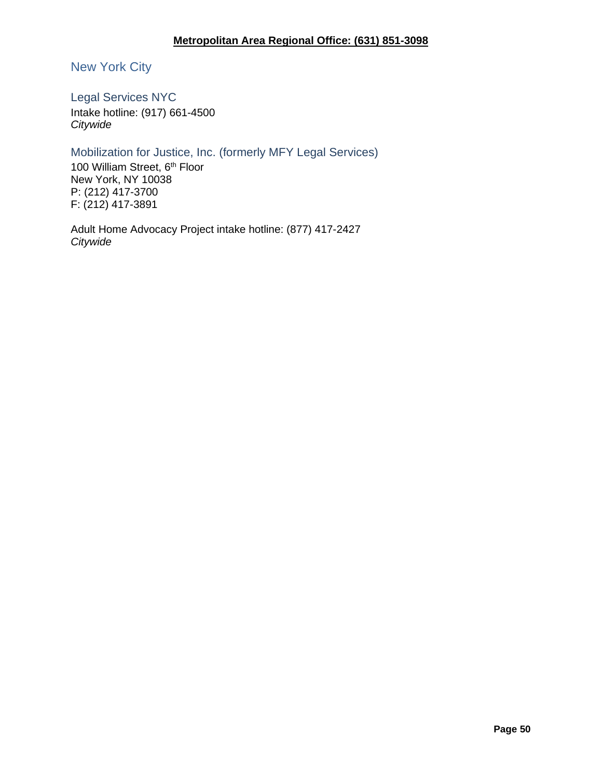## **Metropolitan Area Regional Office: (631) 851-3098**

# New York City

Legal Services NYC

Intake hotline: (917) 661-4500 *Citywide*

## Mobilization for Justice, Inc. (formerly MFY Legal Services)

100 William Street, 6<sup>th</sup> Floor New York, NY 10038 P: (212) 417-3700 F: (212) 417-3891

Adult Home Advocacy Project intake hotline: (877) 417-2427 *Citywide*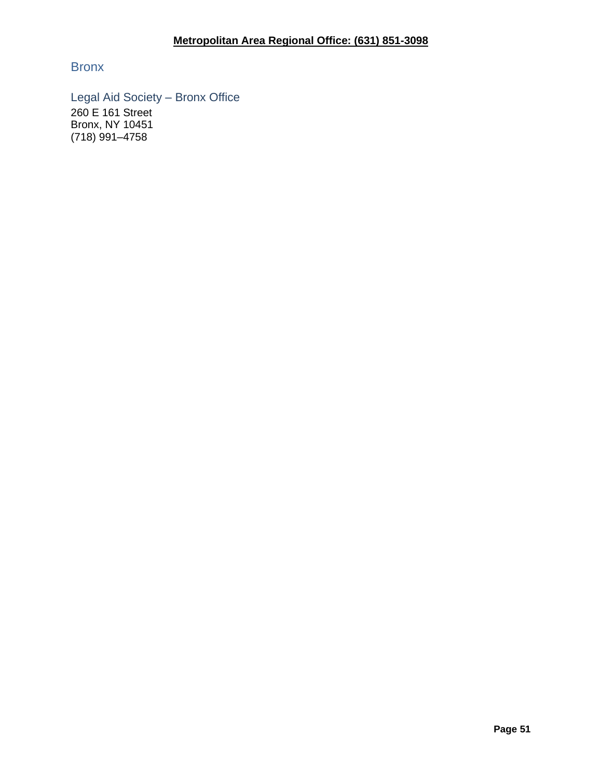Bronx

Legal Aid Society – Bronx Office 260 E 161 Street Bronx, NY 10451 (718) 991–4758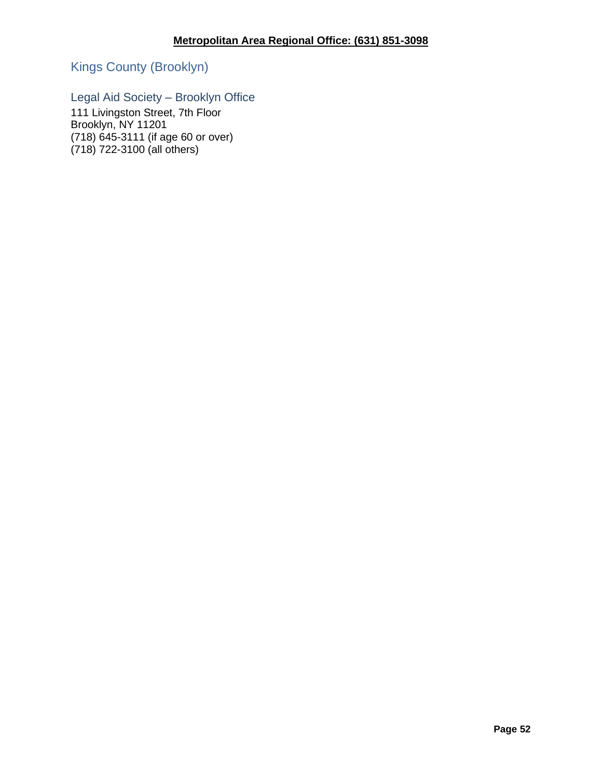Kings County (Brooklyn)

# Legal Aid Society – Brooklyn Office

111 Livingston Street, 7th Floor Brooklyn, NY 11201 (718) 645-3111 (if age 60 or over) (718) 722-3100 (all others)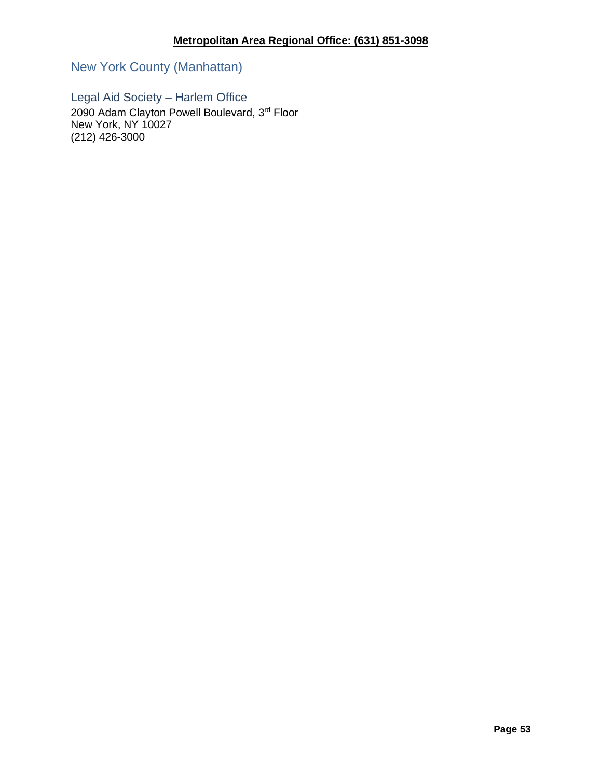New York County (Manhattan)

Legal Aid Society – Harlem Office 2090 Adam Clayton Powell Boulevard, 3rd Floor New York, NY 10027 (212) 426-3000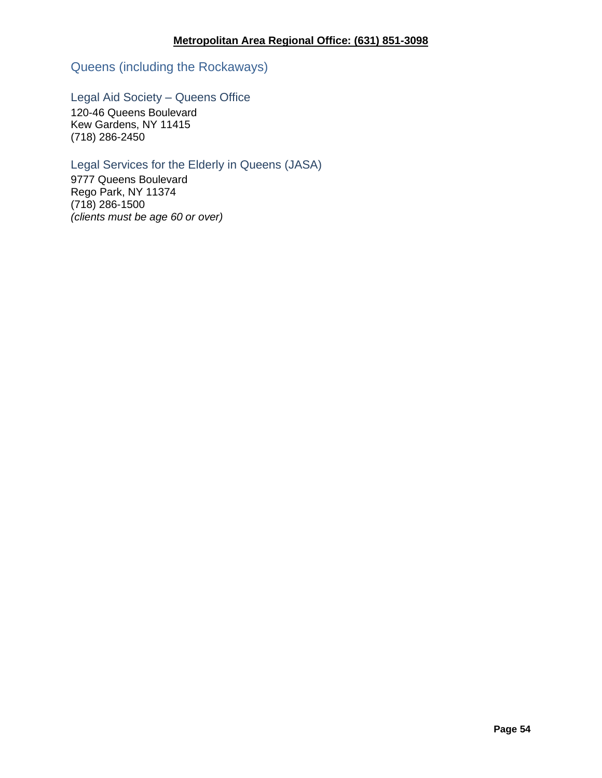Queens (including the Rockaways)

# Legal Aid Society – Queens Office

120-46 Queens Boulevard Kew Gardens, NY 11415 (718) 286-2450

# Legal Services for the Elderly in Queens (JASA)

9777 Queens Boulevard Rego Park, NY 11374 (718) 286-1500 *(clients must be age 60 or over)*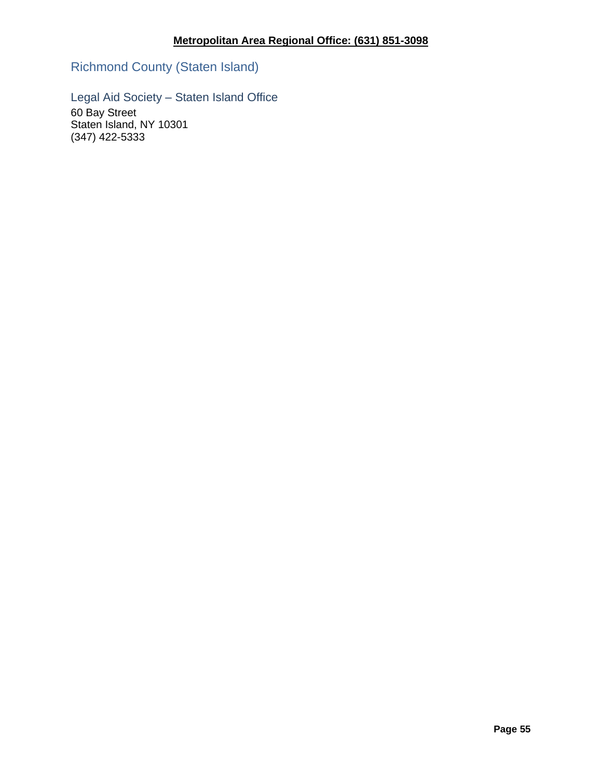Richmond County (Staten Island)

Legal Aid Society – Staten Island Office

60 Bay Street Staten Island, NY 10301 (347) 422-5333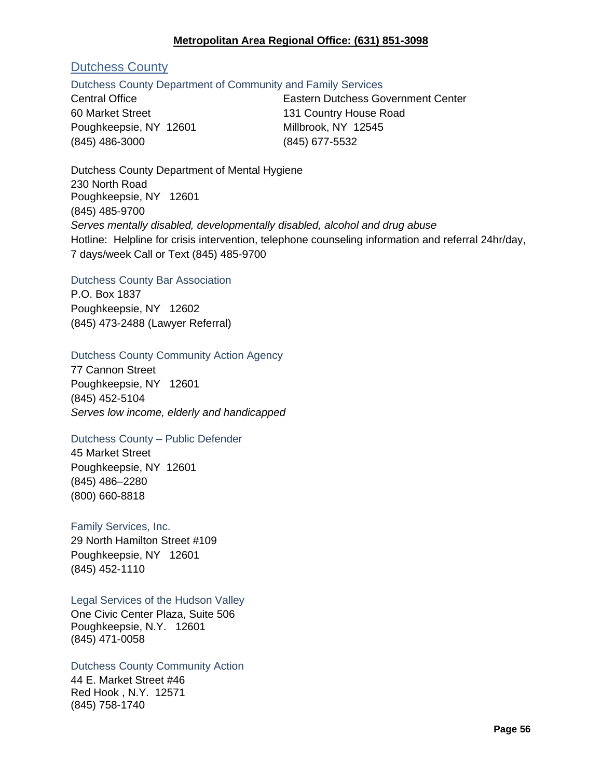### **Metropolitan Area Regional Office: (631) 851-3098**

# Dutchess County

#### Dutchess County Department of Community and Family Services

60 Market Street 131 Country House Road Poughkeepsie, NY 12601 Millbrook, NY 12545 (845) 486-3000 (845) 677-5532

Central Office Eastern Dutchess Government Center

Dutchess County Department of Mental Hygiene 230 North Road Poughkeepsie, NY 12601 (845) 485-9700 *Serves mentally disabled, developmentally disabled, alcohol and drug abuse* Hotline: Helpline for crisis intervention, telephone counseling information and referral 24hr/day, 7 days/week Call or Text (845) 485-9700

#### Dutchess County Bar Association

P.O. Box 1837 Poughkeepsie, NY 12602 (845) 473-2488 (Lawyer Referral)

### Dutchess County Community Action Agency

77 Cannon Street Poughkeepsie, NY 12601 (845) 452-5104 *Serves low income, elderly and handicapped*

### Dutchess County – Public Defender

45 Market Street Poughkeepsie, NY 12601 (845) 486–2280 (800) 660-8818

### Family Services, Inc.

29 North Hamilton Street #109 Poughkeepsie, NY 12601 (845) 452-1110

Legal Services of the Hudson Valley

One Civic Center Plaza, Suite 506 Poughkeepsie, N.Y. 12601 (845) 471-0058

#### Dutchess County Community Action

44 E. Market Street #46 Red Hook , N.Y. 12571 (845) 758-1740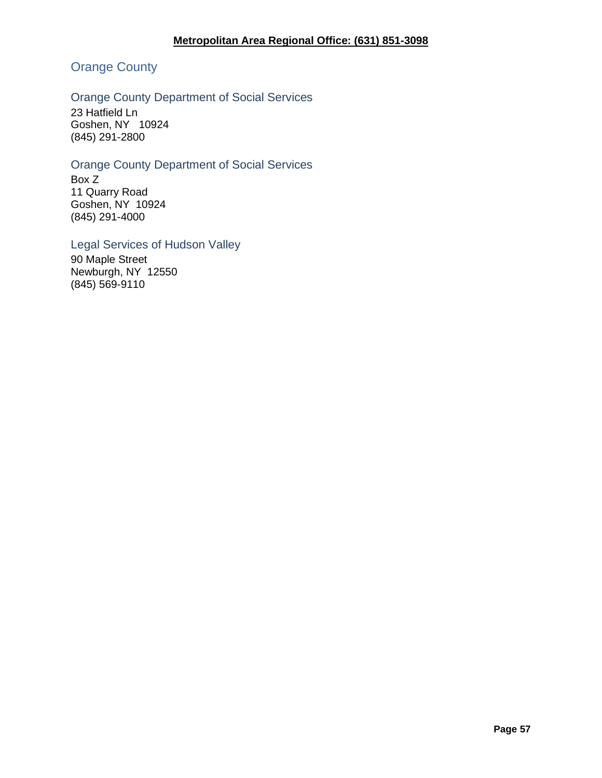# Orange County

# Orange County Department of Social Services

23 Hatfield Ln Goshen, NY 10924 (845) 291-2800

# Orange County Department of Social Services

Box Z 11 Quarry Road Goshen, NY 10924 (845) 291-4000

#### Legal Services of Hudson Valley

90 Maple Street Newburgh, NY 12550 (845) 569-9110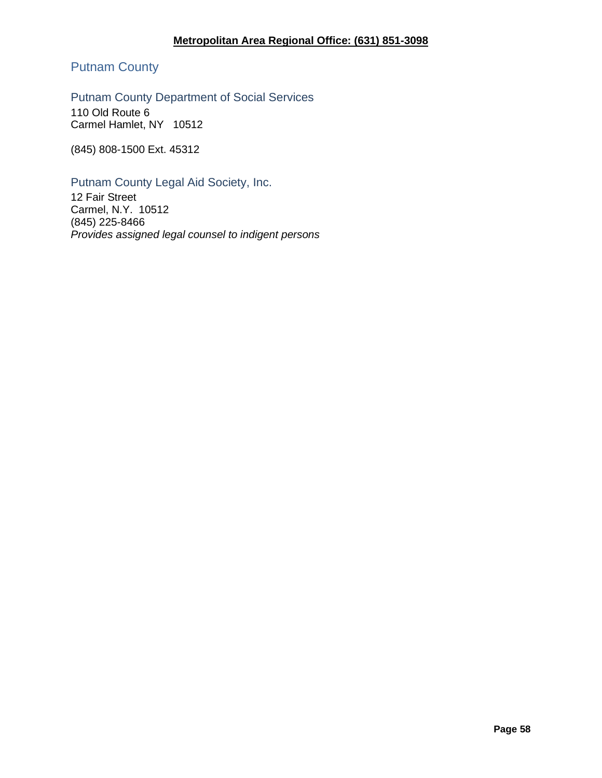Putnam County

Putnam County Department of Social Services

110 Old Route 6 Carmel Hamlet, NY 10512

(845) 808-1500 Ext. 45312

Putnam County Legal Aid Society, Inc.

12 Fair Street Carmel, N.Y. 10512 (845) 225-8466 *Provides assigned legal counsel to indigent persons*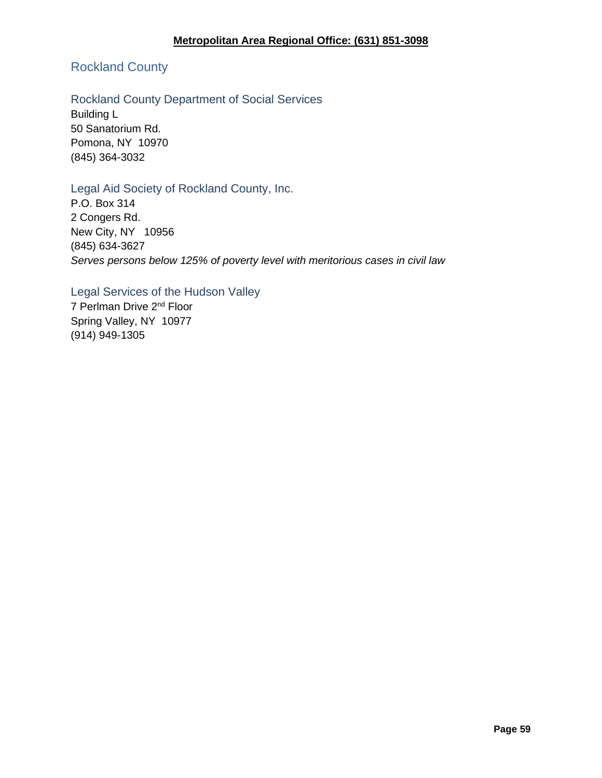# Rockland County

# Rockland County Department of Social Services

Building L 50 Sanatorium Rd. Pomona, NY 10970 (845) 364-3032

## Legal Aid Society of Rockland County, Inc.

P.O. Box 314 2 Congers Rd. New City, NY 10956 (845) 634-3627 *Serves persons below 125% of poverty level with meritorious cases in civil law*

# Legal Services of the Hudson Valley

7 Perlman Drive 2nd Floor Spring Valley, NY 10977 (914) 949-1305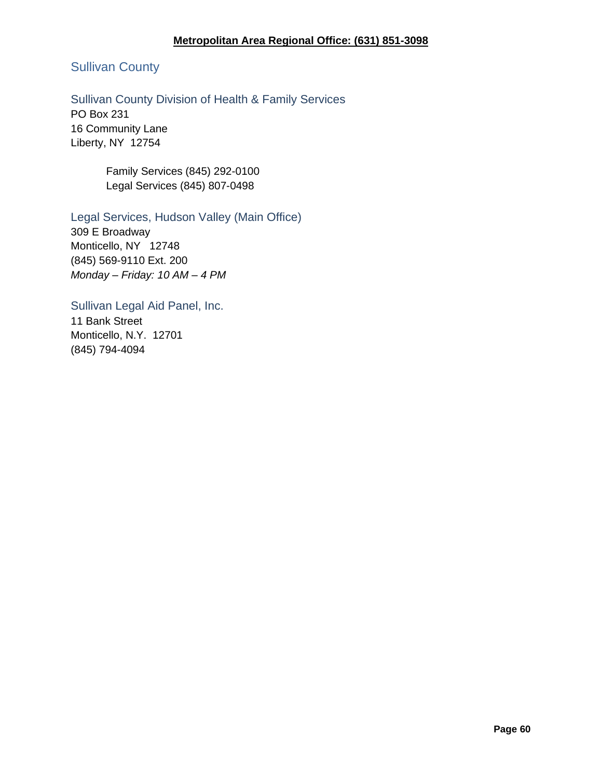# **Metropolitan Area Regional Office: (631) 851-3098**

# Sullivan County

# Sullivan County Division of Health & Family Services

PO Box 231 16 Community Lane Liberty, NY 12754

> Family Services (845) 292-0100 Legal Services (845) 807-0498

### Legal Services, Hudson Valley (Main Office)

309 E Broadway Monticello, NY 12748 (845) 569-9110 Ext. 200 *Monday – Friday: 10 AM – 4 PM*

Sullivan Legal Aid Panel, Inc. 11 Bank Street Monticello, N.Y. 12701 (845) 794-4094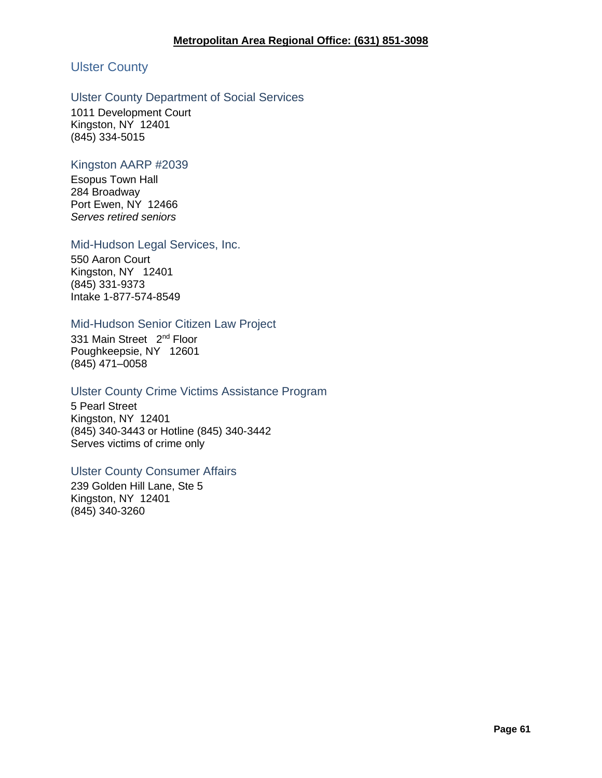# Ulster County

### Ulster County Department of Social Services

1011 Development Court Kingston, NY 12401 (845) 334-5015

### Kingston AARP #2039

Esopus Town Hall 284 Broadway Port Ewen, NY 12466 *Serves retired seniors*

#### Mid-Hudson Legal Services, Inc.

550 Aaron Court Kingston, NY 12401 (845) 331-9373 Intake 1-877-574-8549

### Mid-Hudson Senior Citizen Law Project

331 Main Street 2<sup>nd</sup> Floor Poughkeepsie, NY 12601 (845) 471–0058

### Ulster County Crime Victims Assistance Program

5 Pearl Street Kingston, NY 12401 (845) 340-3443 or Hotline (845) 340-3442 Serves victims of crime only

### Ulster County Consumer Affairs

239 Golden Hill Lane, Ste 5 Kingston, NY 12401 (845) 340-3260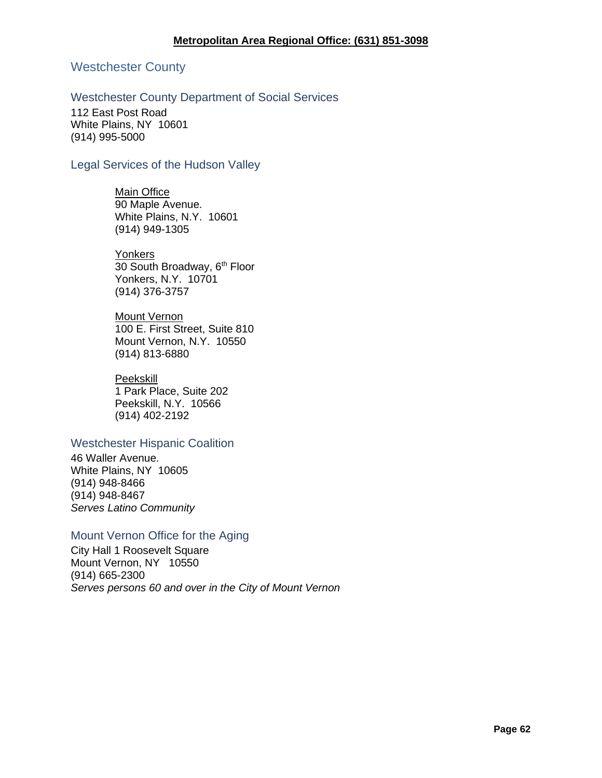### Westchester County

### Westchester County Department of Social Services

112 East Post Road White Plains, NY 10601 (914) 995-5000

### Legal Services of the Hudson Valley

Main Office 90 Maple Avenue. White Plains, N.Y. 10601 (914) 949-1305

**Yonkers** 30 South Broadway, 6<sup>th</sup> Floor Yonkers, N.Y. 10701 (914) 376-3757

**Mount Vernon** 100 E. First Street, Suite 810 Mount Vernon, N.Y. 10550 (914) 813-6880

#### Peekskill

1 Park Place, Suite 202 Peekskill, N.Y. 10566 (914) 402-2192

## Westchester Hispanic Coalition

46 Waller Avenue. White Plains, NY 10605 (914) 948-8466 (914) 948-8467 *Serves Latino Community*

### Mount Vernon Office for the Aging

City Hall 1 Roosevelt Square Mount Vernon, NY 10550 (914) 665-2300 *Serves persons 60 and over in the City of Mount Vernon*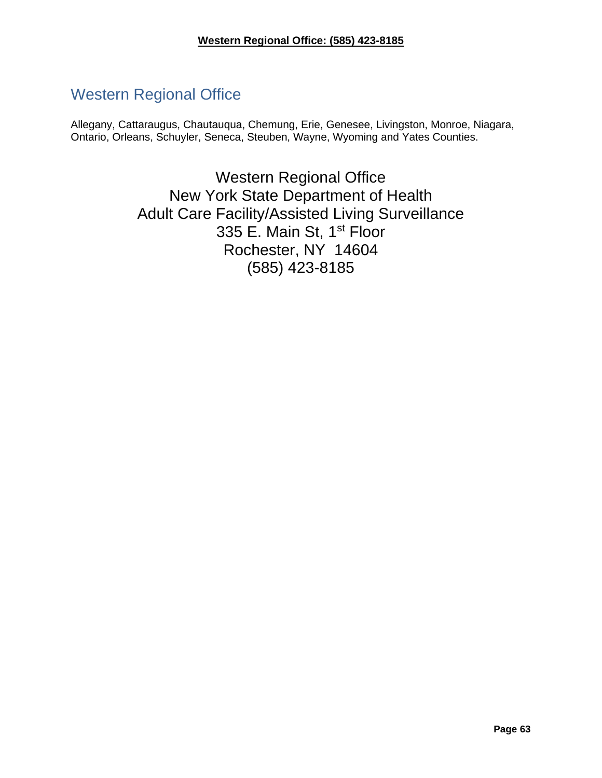# Western Regional Office

Allegany, Cattaraugus, Chautauqua, Chemung, Erie, Genesee, Livingston, Monroe, Niagara, Ontario, Orleans, Schuyler, Seneca, Steuben, Wayne, Wyoming and Yates Counties.

> Western Regional Office New York State Department of Health Adult Care Facility/Assisted Living Surveillance 335 E. Main St, 1<sup>st</sup> Floor Rochester, NY 14604 (585) 423-8185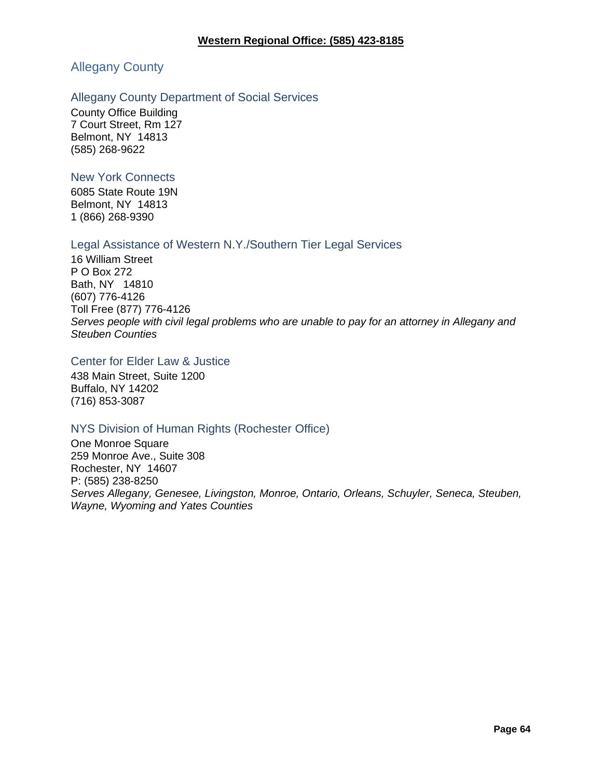# Allegany County

#### Allegany County Department of Social Services

County Office Building 7 Court Street, Rm 127 Belmont, NY 14813 (585) 268-9622

#### New York Connects

6085 State Route 19N Belmont, NY 14813 1 (866) 268-9390

#### Legal Assistance of Western N.Y./Southern Tier Legal Services

16 William Street P O Box 272 Bath, NY 14810 (607) 776-4126 Toll Free (877) 776-4126 *Serves people with civil legal problems who are unable to pay for an attorney in Allegany and Steuben Counties*

### Center for Elder Law & Justice

438 Main Street, Suite 1200 Buffalo, NY 14202 (716) 853-3087

### NYS Division of Human Rights (Rochester Office)

One Monroe Square 259 Monroe Ave., Suite 308 Rochester, NY 14607 P: (585) 238-8250 *Serves Allegany, Genesee, Livingston, Monroe, Ontario, Orleans, Schuyler, Seneca, Steuben, Wayne, Wyoming and Yates Counties*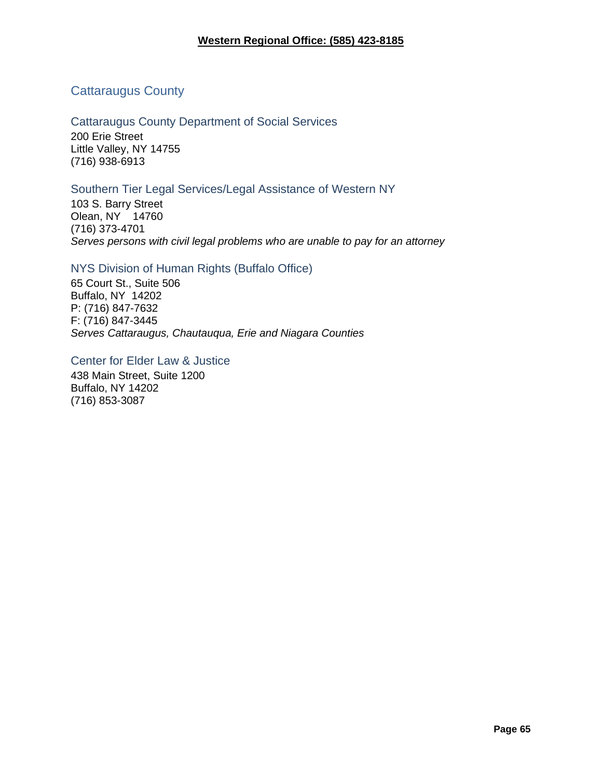# Cattaraugus County

Cattaraugus County Department of Social Services 200 Erie Street Little Valley, NY 14755 (716) 938-6913

### Southern Tier Legal Services/Legal Assistance of Western NY

103 S. Barry Street Olean, NY 14760 (716) 373-4701 *Serves persons with civil legal problems who are unable to pay for an attorney*

# NYS Division of Human Rights (Buffalo Office)

65 Court St., Suite 506 Buffalo, NY 14202 P: (716) 847-7632 F: (716) 847-3445 *Serves Cattaraugus, Chautauqua, Erie and Niagara Counties*

Center for Elder Law & Justice

438 Main Street, Suite 1200 Buffalo, NY 14202 (716) 853-3087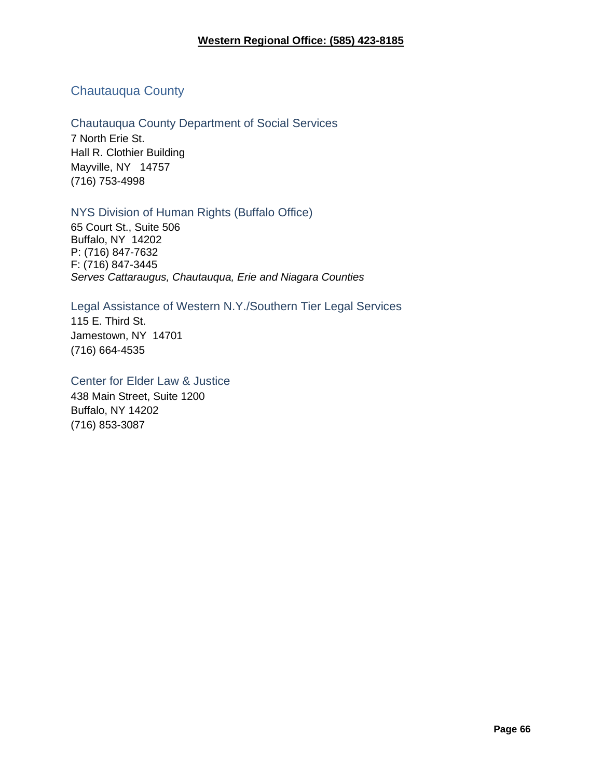# Chautauqua County

# Chautauqua County Department of Social Services

7 North Erie St. Hall R. Clothier Building Mayville, NY 14757 (716) 753-4998

## NYS Division of Human Rights (Buffalo Office)

65 Court St., Suite 506 Buffalo, NY 14202 P: (716) 847-7632 F: (716) 847-3445 *Serves Cattaraugus, Chautauqua, Erie and Niagara Counties*

Legal Assistance of Western N.Y./Southern Tier Legal Services 115 E. Third St. Jamestown, NY 14701 (716) 664-4535

#### Center for Elder Law & Justice

438 Main Street, Suite 1200 Buffalo, NY 14202 (716) 853-3087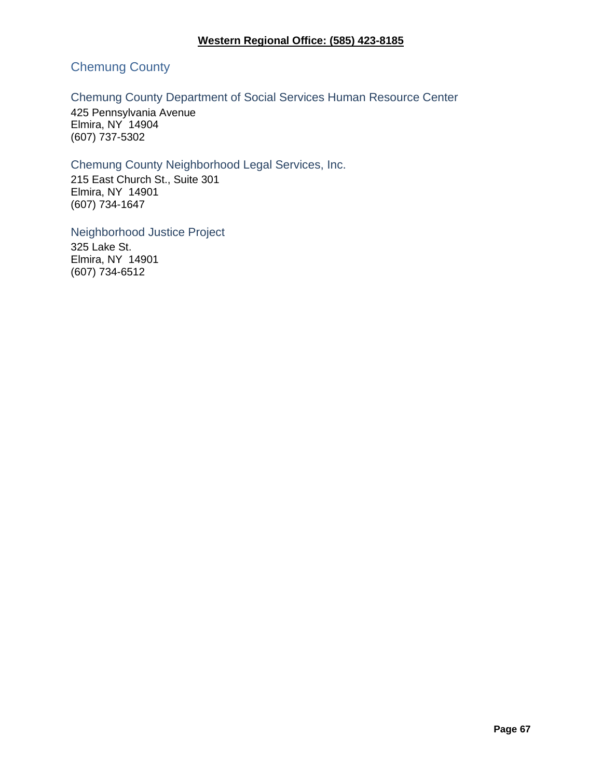# Chemung County

# Chemung County Department of Social Services Human Resource Center

425 Pennsylvania Avenue Elmira, NY 14904 (607) 737-5302

# Chemung County Neighborhood Legal Services, Inc.

215 East Church St., Suite 301 Elmira, NY 14901 (607) 734-1647

Neighborhood Justice Project 325 Lake St. Elmira, NY 14901 (607) 734-6512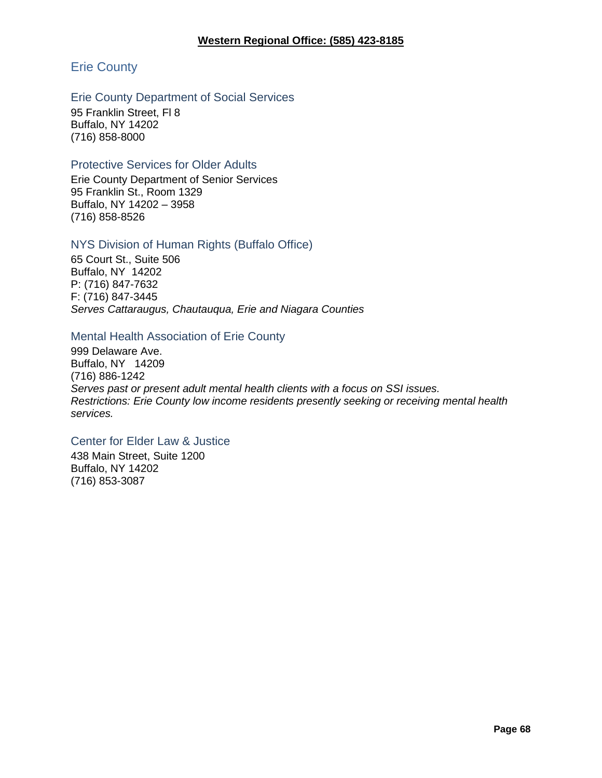# Erie County

### Erie County Department of Social Services

95 Franklin Street, Fl 8 Buffalo, NY 14202 (716) 858-8000

### Protective Services for Older Adults

Erie County Department of Senior Services 95 Franklin St., Room 1329 Buffalo, NY 14202 – 3958 (716) 858-8526

### NYS Division of Human Rights (Buffalo Office)

65 Court St., Suite 506 Buffalo, NY 14202 P: (716) 847-7632 F: (716) 847-3445 *Serves Cattaraugus, Chautauqua, Erie and Niagara Counties*

### Mental Health Association of Erie County

999 Delaware Ave. Buffalo, NY 14209 (716) 886-1242 *Serves past or present adult mental health clients with a focus on SSI issues. Restrictions: Erie County low income residents presently seeking or receiving mental health services.*

### Center for Elder Law & Justice

438 Main Street, Suite 1200 Buffalo, NY 14202 (716) 853-3087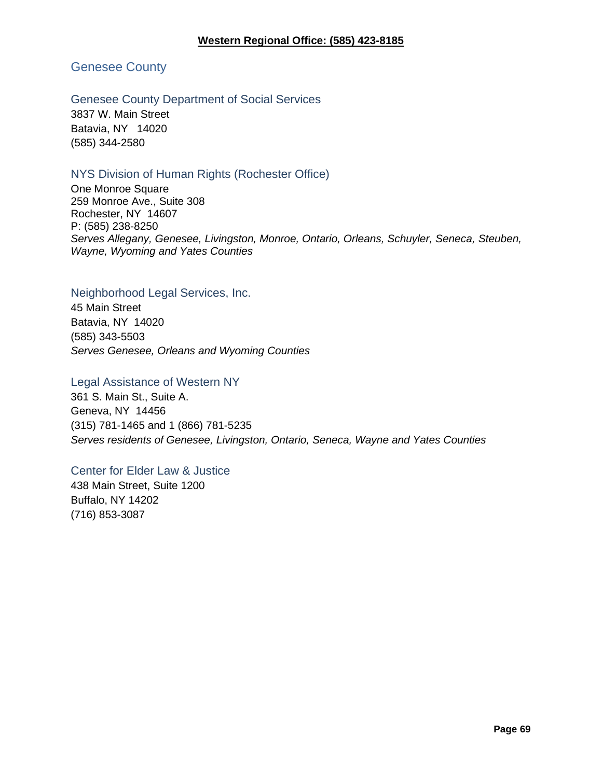Genesee County

# Genesee County Department of Social Services

3837 W. Main Street Batavia, NY 14020 (585) 344-2580

# NYS Division of Human Rights (Rochester Office)

One Monroe Square 259 Monroe Ave., Suite 308 Rochester, NY 14607 P: (585) 238-8250 *Serves Allegany, Genesee, Livingston, Monroe, Ontario, Orleans, Schuyler, Seneca, Steuben, Wayne, Wyoming and Yates Counties*

### Neighborhood Legal Services, Inc.

45 Main Street Batavia, NY 14020 (585) 343-5503 *Serves Genesee, Orleans and Wyoming Counties*

## Legal Assistance of Western NY

361 S. Main St., Suite A. Geneva, NY 14456 (315) 781-1465 and 1 (866) 781-5235 *Serves residents of Genesee, Livingston, Ontario, Seneca, Wayne and Yates Counties*

### Center for Elder Law & Justice

438 Main Street, Suite 1200 Buffalo, NY 14202 (716) 853-3087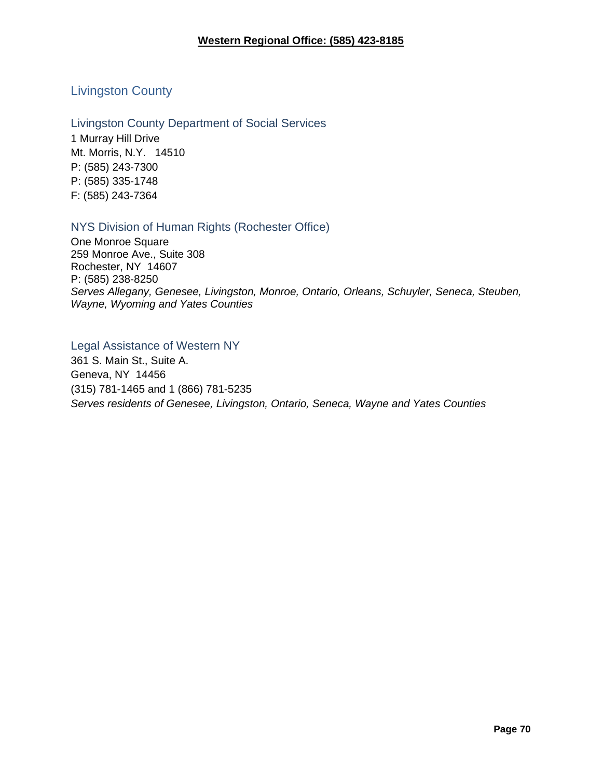# Livingston County

Livingston County Department of Social Services

1 Murray Hill Drive Mt. Morris, N.Y. 14510 P: (585) 243-7300 P: (585) 335-1748 F: (585) 243-7364

# NYS Division of Human Rights (Rochester Office)

One Monroe Square 259 Monroe Ave., Suite 308 Rochester, NY 14607 P: (585) 238-8250 *Serves Allegany, Genesee, Livingston, Monroe, Ontario, Orleans, Schuyler, Seneca, Steuben, Wayne, Wyoming and Yates Counties*

# Legal Assistance of Western NY

361 S. Main St., Suite A. Geneva, NY 14456 (315) 781-1465 and 1 (866) 781-5235 *Serves residents of Genesee, Livingston, Ontario, Seneca, Wayne and Yates Counties*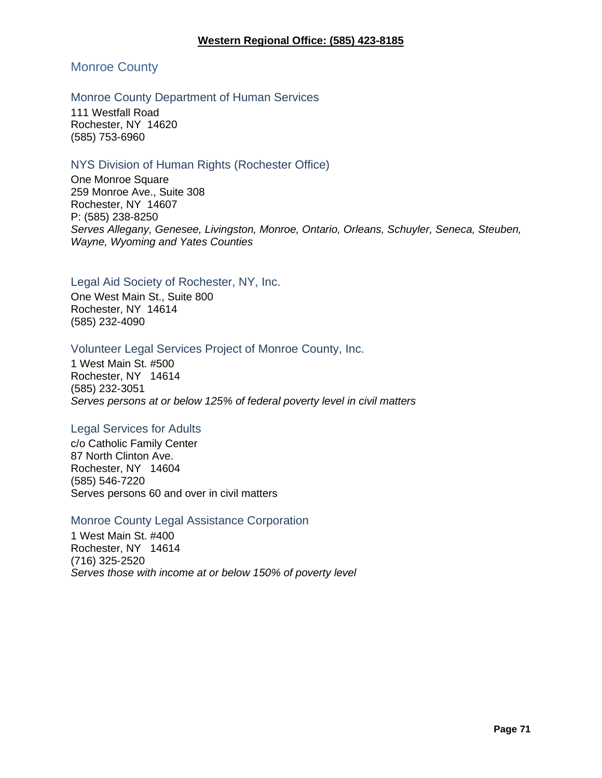# Monroe County

### Monroe County Department of Human Services

111 Westfall Road Rochester, NY 14620 (585) 753-6960

### NYS Division of Human Rights (Rochester Office)

One Monroe Square 259 Monroe Ave., Suite 308 Rochester, NY 14607 P: (585) 238-8250 *Serves Allegany, Genesee, Livingston, Monroe, Ontario, Orleans, Schuyler, Seneca, Steuben, Wayne, Wyoming and Yates Counties*

## Legal Aid Society of Rochester, NY, Inc.

One West Main St., Suite 800 Rochester, NY 14614 (585) 232-4090

### Volunteer Legal Services Project of Monroe County, Inc.

1 West Main St. #500 Rochester, NY 14614 (585) 232-3051 *Serves persons at or below 125% of federal poverty level in civil matters*

### Legal Services for Adults

c/o Catholic Family Center 87 North Clinton Ave. Rochester, NY 14604 (585) 546-7220 Serves persons 60 and over in civil matters

#### Monroe County Legal Assistance Corporation

1 West Main St. #400 Rochester, NY 14614 (716) 325-2520 *Serves those with income at or below 150% of poverty level*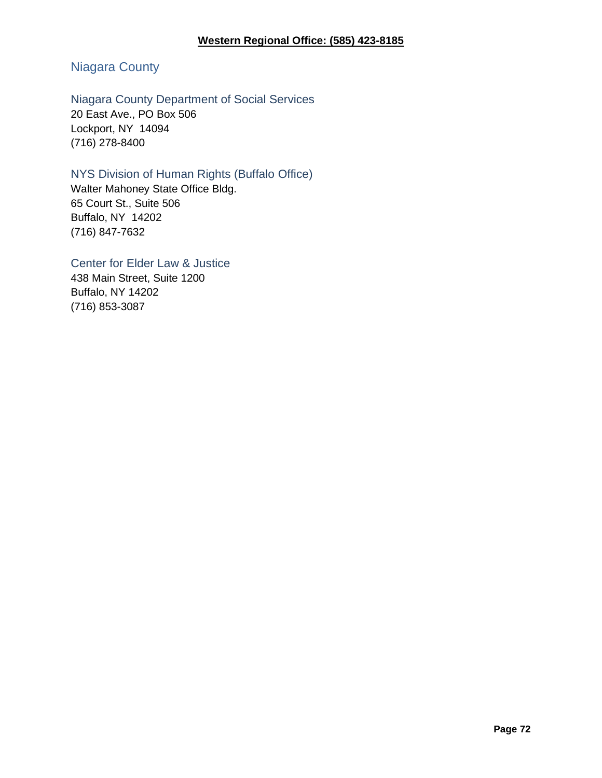# Niagara County

# Niagara County Department of Social Services 20 East Ave., PO Box 506

Lockport, NY 14094 (716) 278-8400

# NYS Division of Human Rights (Buffalo Office)

Walter Mahoney State Office Bldg. 65 Court St., Suite 506 Buffalo, NY 14202 (716) 847-7632

# Center for Elder Law & Justice

438 Main Street, Suite 1200 Buffalo, NY 14202 (716) 853-3087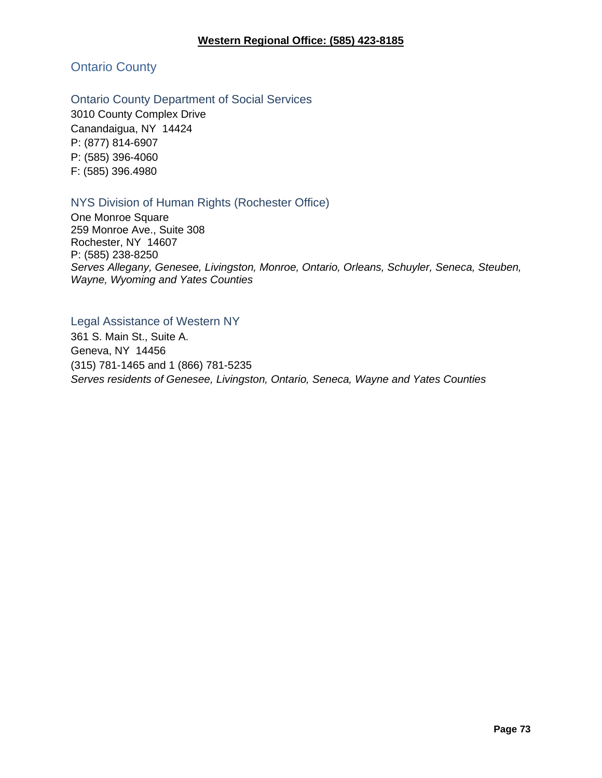Ontario County

Ontario County Department of Social Services

3010 County Complex Drive Canandaigua, NY 14424 P: (877) 814-6907 P: (585) 396-4060 F: (585) 396.4980

### NYS Division of Human Rights (Rochester Office)

One Monroe Square 259 Monroe Ave., Suite 308 Rochester, NY 14607 P: (585) 238-8250 *Serves Allegany, Genesee, Livingston, Monroe, Ontario, Orleans, Schuyler, Seneca, Steuben, Wayne, Wyoming and Yates Counties*

#### Legal Assistance of Western NY

361 S. Main St., Suite A. Geneva, NY 14456 (315) 781-1465 and 1 (866) 781-5235 *Serves residents of Genesee, Livingston, Ontario, Seneca, Wayne and Yates Counties*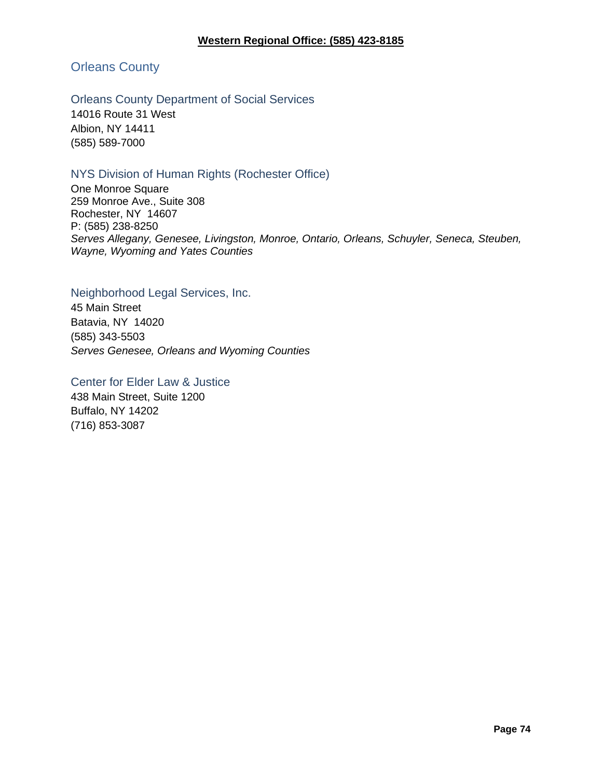Orleans County

Orleans County Department of Social Services

14016 Route 31 West Albion, NY 14411 (585) 589-7000

### NYS Division of Human Rights (Rochester Office)

One Monroe Square 259 Monroe Ave., Suite 308 Rochester, NY 14607 P: (585) 238-8250 *Serves Allegany, Genesee, Livingston, Monroe, Ontario, Orleans, Schuyler, Seneca, Steuben, Wayne, Wyoming and Yates Counties*

#### Neighborhood Legal Services, Inc.

45 Main Street Batavia, NY 14020 (585) 343-5503 *Serves Genesee, Orleans and Wyoming Counties*

#### Center for Elder Law & Justice

438 Main Street, Suite 1200 Buffalo, NY 14202 (716) 853-3087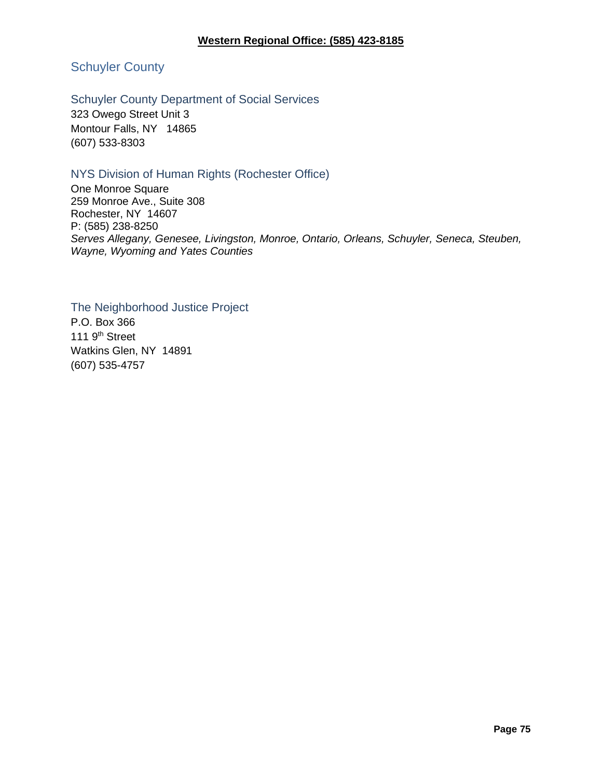Schuyler County

#### Schuyler County Department of Social Services

323 Owego Street Unit 3 Montour Falls, NY 14865 (607) 533-8303

### NYS Division of Human Rights (Rochester Office)

One Monroe Square 259 Monroe Ave., Suite 308 Rochester, NY 14607 P: (585) 238-8250 *Serves Allegany, Genesee, Livingston, Monroe, Ontario, Orleans, Schuyler, Seneca, Steuben, Wayne, Wyoming and Yates Counties*

The Neighborhood Justice Project P.O. Box 366 111 9<sup>th</sup> Street Watkins Glen, NY 14891 (607) 535-4757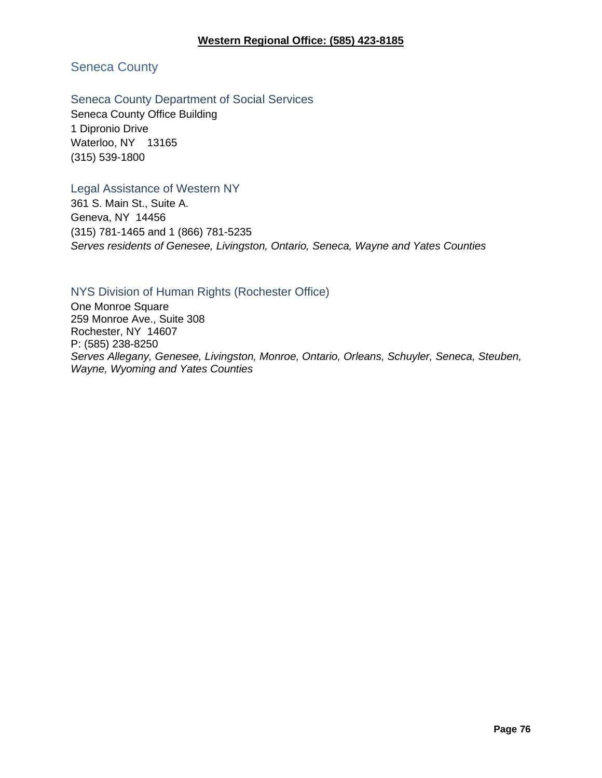### Seneca County

#### Seneca County Department of Social Services

Seneca County Office Building 1 Dipronio Drive Waterloo, NY 13165 (315) 539-1800

#### Legal Assistance of Western NY

361 S. Main St., Suite A. Geneva, NY 14456 (315) 781-1465 and 1 (866) 781-5235 *Serves residents of Genesee, Livingston, Ontario, Seneca, Wayne and Yates Counties*

#### NYS Division of Human Rights (Rochester Office)

One Monroe Square 259 Monroe Ave., Suite 308 Rochester, NY 14607 P: (585) 238-8250 *Serves Allegany, Genesee, Livingston, Monroe, Ontario, Orleans, Schuyler, Seneca, Steuben, Wayne, Wyoming and Yates Counties*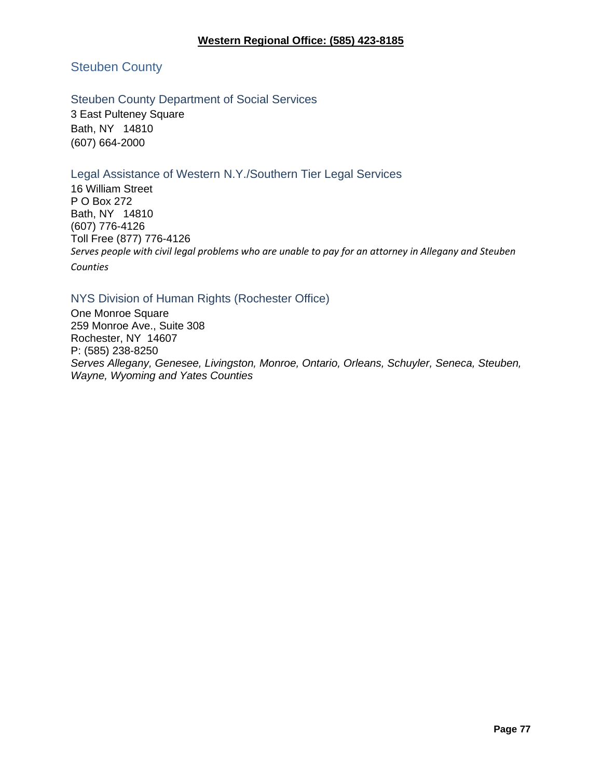#### **Western Regional Office: (585) 423-8185**

Steuben County

### Steuben County Department of Social Services

3 East Pulteney Square Bath, NY 14810 (607) 664-2000

### Legal Assistance of Western N.Y./Southern Tier Legal Services

16 William Street P O Box 272 Bath, NY 14810 (607) 776-4126 Toll Free (877) 776-4126 *Serves people with civil legal problems who are unable to pay for an attorney in Allegany and Steuben Counties*

### NYS Division of Human Rights (Rochester Office)

One Monroe Square 259 Monroe Ave., Suite 308 Rochester, NY 14607 P: (585) 238-8250 *Serves Allegany, Genesee, Livingston, Monroe, Ontario, Orleans, Schuyler, Seneca, Steuben, Wayne, Wyoming and Yates Counties*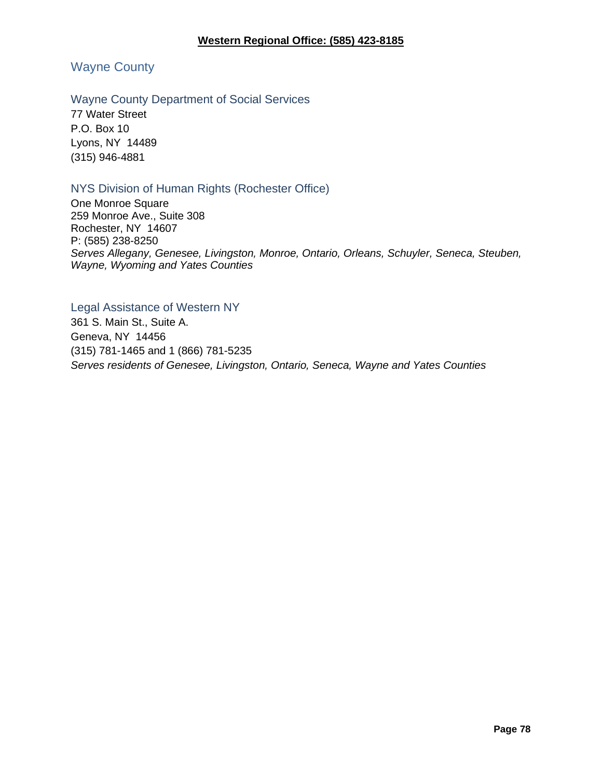Wayne County

#### Wayne County Department of Social Services

77 Water Street P.O. Box 10 Lyons, NY 14489 (315) 946-4881

### NYS Division of Human Rights (Rochester Office)

One Monroe Square 259 Monroe Ave., Suite 308 Rochester, NY 14607 P: (585) 238-8250 *Serves Allegany, Genesee, Livingston, Monroe, Ontario, Orleans, Schuyler, Seneca, Steuben, Wayne, Wyoming and Yates Counties*

Legal Assistance of Western NY 361 S. Main St., Suite A. Geneva, NY 14456 (315) 781-1465 and 1 (866) 781-5235 *Serves residents of Genesee, Livingston, Ontario, Seneca, Wayne and Yates Counties*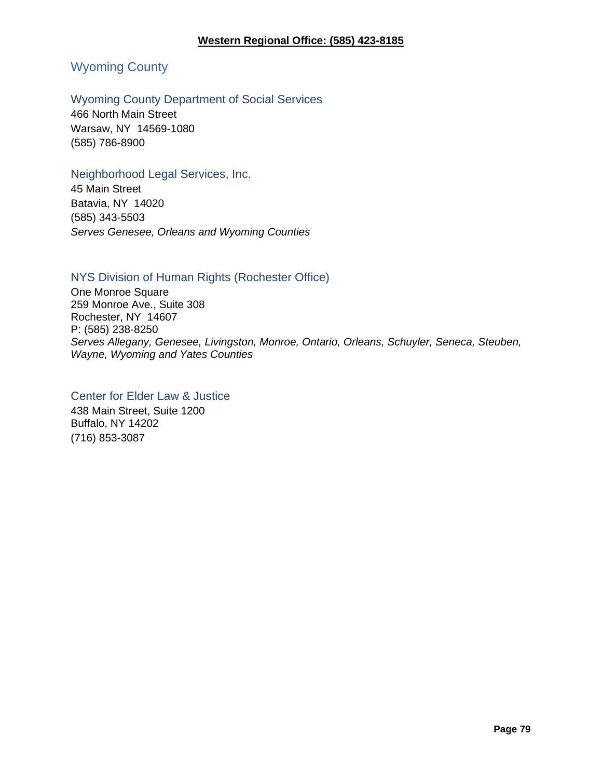### Wyoming County

#### Wyoming County Department of Social Services

466 North Main Street Warsaw, NY 14569-1080 (585) 786-8900

#### Neighborhood Legal Services, Inc.

45 Main Street Batavia, NY 14020 (585) 343-5503 *Serves Genesee, Orleans and Wyoming Counties*

#### NYS Division of Human Rights (Rochester Office)

One Monroe Square 259 Monroe Ave., Suite 308 Rochester, NY 14607 P: (585) 238-8250 *Serves Allegany, Genesee, Livingston, Monroe, Ontario, Orleans, Schuyler, Seneca, Steuben, Wayne, Wyoming and Yates Counties*

### Center for Elder Law & Justice

438 Main Street, Suite 1200 Buffalo, NY 14202 (716) 853-3087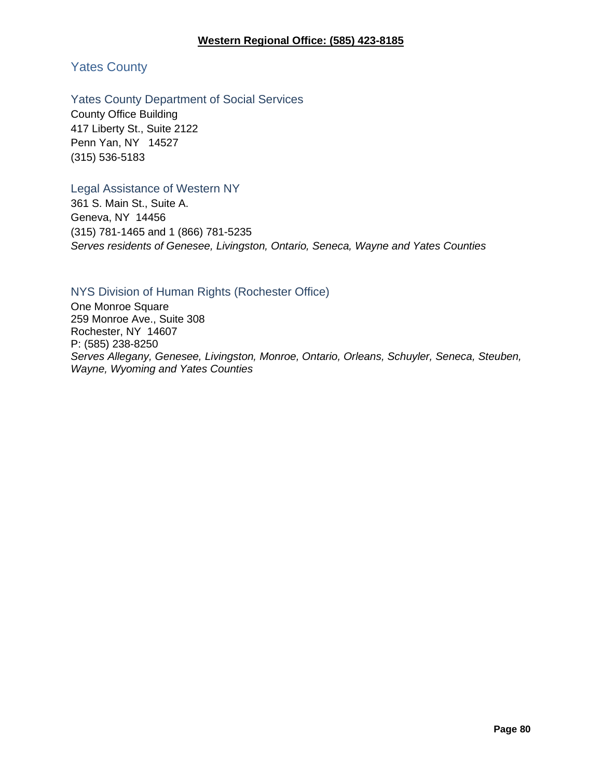Yates County

#### Yates County Department of Social Services

County Office Building 417 Liberty St., Suite 2122 Penn Yan, NY 14527 (315) 536-5183

#### Legal Assistance of Western NY

361 S. Main St., Suite A. Geneva, NY 14456 (315) 781-1465 and 1 (866) 781-5235 *Serves residents of Genesee, Livingston, Ontario, Seneca, Wayne and Yates Counties*

### NYS Division of Human Rights (Rochester Office)

One Monroe Square 259 Monroe Ave., Suite 308 Rochester, NY 14607 P: (585) 238-8250 *Serves Allegany, Genesee, Livingston, Monroe, Ontario, Orleans, Schuyler, Seneca, Steuben, Wayne, Wyoming and Yates Counties*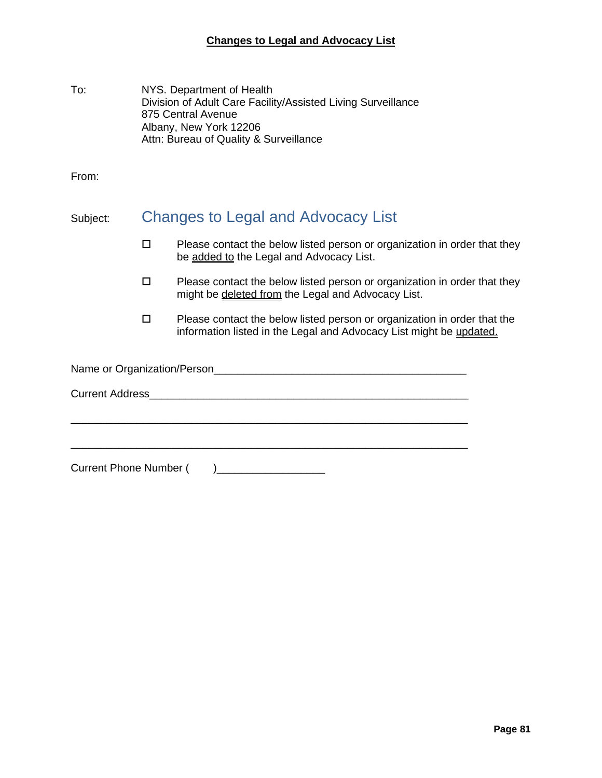| To: | NYS. Department of Health                                    |
|-----|--------------------------------------------------------------|
|     | Division of Adult Care Facility/Assisted Living Surveillance |
|     | 875 Central Avenue                                           |
|     | Albany, New York 12206                                       |
|     | Attn: Bureau of Quality & Surveillance                       |

From:

## Subject: Changes to Legal and Advocacy List

- $\square$  Please contact the below listed person or organization in order that they be added to the Legal and Advocacy List.
- $\square$  Please contact the below listed person or organization in order that they might be deleted from the Legal and Advocacy List.
- $\square$  Please contact the below listed person or organization in order that the information listed in the Legal and Advocacy List might be updated.

Name or Organization/Person\_\_\_\_\_\_\_\_\_\_\_\_\_\_\_\_\_\_\_\_\_\_\_\_\_\_\_\_\_\_\_\_\_\_\_\_\_\_\_\_\_\_

\_\_\_\_\_\_\_\_\_\_\_\_\_\_\_\_\_\_\_\_\_\_\_\_\_\_\_\_\_\_\_\_\_\_\_\_\_\_\_\_\_\_\_\_\_\_\_\_\_\_\_\_\_\_\_\_\_\_\_\_\_\_\_\_\_\_

\_\_\_\_\_\_\_\_\_\_\_\_\_\_\_\_\_\_\_\_\_\_\_\_\_\_\_\_\_\_\_\_\_\_\_\_\_\_\_\_\_\_\_\_\_\_\_\_\_\_\_\_\_\_\_\_\_\_\_\_\_\_\_\_\_\_

Current Address\_\_\_\_\_\_\_\_\_\_\_\_\_\_\_\_\_\_\_\_\_\_\_\_\_\_\_\_\_\_\_\_\_\_\_\_\_\_\_\_\_\_\_\_\_\_\_\_\_\_\_\_\_

Current Phone Number ( )\_\_\_\_\_\_\_\_\_\_\_\_\_\_\_\_\_\_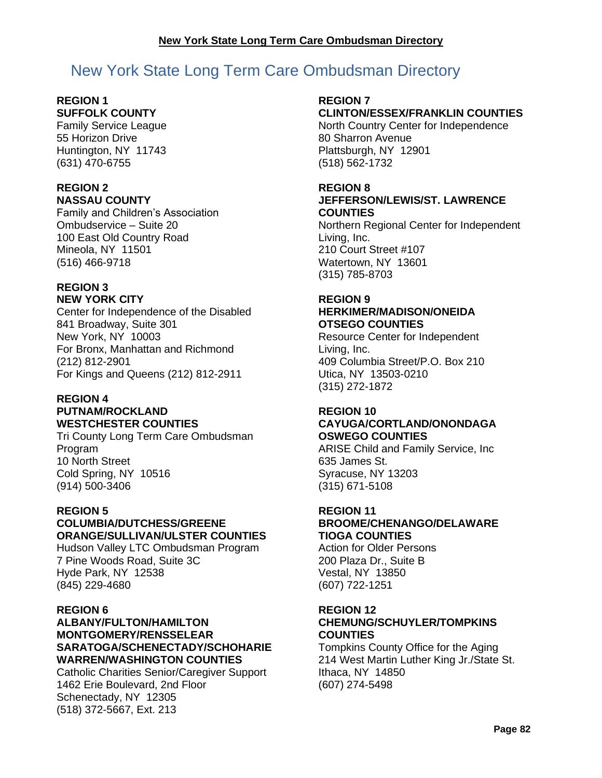# New York State Long Term Care Ombudsman Directory

#### **REGION 1 SUFFOLK COUNTY**

Family Service League 55 Horizon Drive Huntington, NY 11743 (631) 470-6755

#### **REGION 2 NASSAU COUNTY**

Family and Children's Association Ombudservice – Suite 20 100 East Old Country Road Mineola, NY 11501 (516) 466-9718

#### **REGION 3 NEW YORK CITY**

Center for Independence of the Disabled 841 Broadway, Suite 301 New York, NY 10003 For Bronx, Manhattan and Richmond (212) 812-2901 For Kings and Queens (212) 812-2911

#### **REGION 4 PUTNAM/ROCKLAND**

### **WESTCHESTER COUNTIES**

Tri County Long Term Care Ombudsman Program 10 North Street Cold Spring, NY 10516 (914) 500-3406

### **REGION 5**

### **COLUMBIA/DUTCHESS/GREENE ORANGE/SULLIVAN/ULSTER COUNTIES**

Hudson Valley LTC Ombudsman Program 7 Pine Woods Road, Suite 3C Hyde Park, NY 12538 (845) 229-4680

#### **REGION 6**

**ALBANY/FULTON/HAMILTON MONTGOMERY/RENSSELEAR SARATOGA/SCHENECTADY/SCHOHARIE WARREN/WASHINGTON COUNTIES**

Catholic Charities Senior/Caregiver Support 1462 Erie Boulevard, 2nd Floor Schenectady, NY 12305 (518) 372-5667, Ext. 213

#### **REGION 7 CLINTON/ESSEX/FRANKLIN COUNTIES**

North Country Center for Independence 80 Sharron Avenue Plattsburgh, NY 12901 (518) 562-1732

#### **REGION 8**

#### **JEFFERSON/LEWIS/ST. LAWRENCE COUNTIES**

Northern Regional Center for Independent Living, Inc. 210 Court Street #107 Watertown, NY 13601 (315) 785-8703

### **REGION 9**

### **HERKIMER/MADISON/ONEIDA OTSEGO COUNTIES**

Resource Center for Independent Living, Inc. 409 Columbia Street/P.O. Box 210 Utica, NY 13503-0210 (315) 272-1872

#### **REGION 10 CAYUGA/CORTLAND/ONONDAGA OSWEGO COUNTIES**

ARISE Child and Family Service, Inc 635 James St. Syracuse, NY 13203 (315) 671-5108

### **REGION 11**

### **BROOME/CHENANGO/DELAWARE TIOGA COUNTIES**

Action for Older Persons 200 Plaza Dr., Suite B Vestal, NY 13850 (607) 722-1251

# **REGION 12**

### **CHEMUNG/SCHUYLER/TOMPKINS COUNTIES**

Tompkins County Office for the Aging 214 West Martin Luther King Jr./State St. Ithaca, NY 14850 (607) 274-5498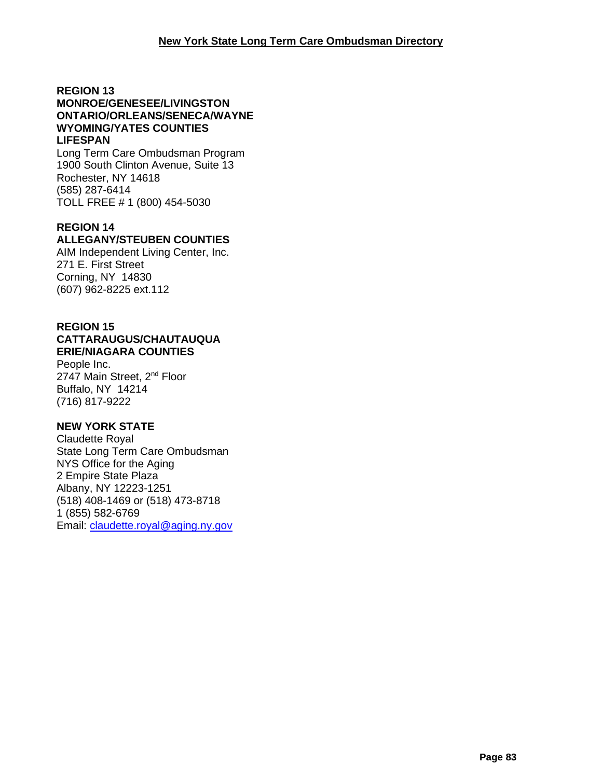#### **REGION 13 MONROE/GENESEE/LIVINGSTON ONTARIO/ORLEANS/SENECA/WAYNE WYOMING/YATES COUNTIES LIFESPAN**

Long Term Care Ombudsman Program 1900 South Clinton Avenue, Suite 13 Rochester, NY 14618 (585) 287-6414 TOLL FREE # 1 (800) 454-5030

### **REGION 14**

### **ALLEGANY/STEUBEN COUNTIES**

AIM Independent Living Center, Inc. 271 E. First Street Corning, NY 14830 (607) 962-8225 ext.112

#### **REGION 15 CATTARAUGUS/CHAUTAUQUA ERIE/NIAGARA COUNTIES**

People Inc. 2747 Main Street, 2<sup>nd</sup> Floor Buffalo, NY 14214 (716) 817-9222

#### **NEW YORK STATE**

Claudette Royal State Long Term Care Ombudsman NYS Office for the Aging 2 Empire State Plaza Albany, NY 12223-1251 (518) 408-1469 or (518) 473-8718 1 (855) 582-6769 Email: [claudette.royal@aging.ny.gov](mailto:claudette.royal@aging.ny.gov)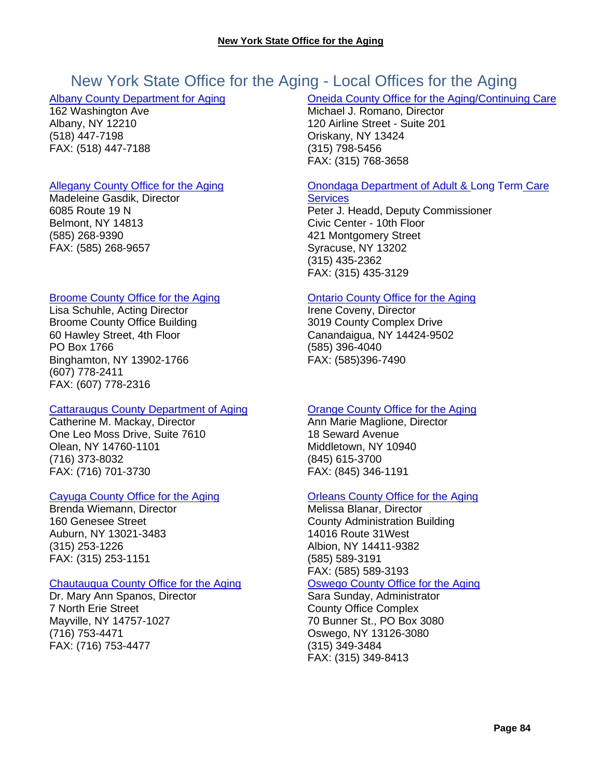# New York State Office for the Aging - Local Offices for the Aging

#### [Albany County Department for Aging](http://www.albanycounty.com/aging/)

162 Washington Ave Albany, NY 12210 (518) 447-7198 FAX: (518) 447-7188

#### [Allegany County Office for the Aging](http://www.alleganyco.com/departments/office-for-the-aging/)

Madeleine Gasdik, Director 6085 Route 19 N Belmont, NY 14813 (585) 268-9390 FAX: (585) 268-9657

#### [Broome County Office for the Aging](http://www.gobroomecounty.com/senior/)

Lisa Schuhle, Acting Director Broome County Office Building 60 Hawley Street, 4th Floor PO Box 1766 Binghamton, NY 13902-1766 (607) 778-2411 FAX: (607) 778-2316

#### [Cattaraugus County Department of Aging](http://www.co.cattaraugus.ny.us/aging/)

Catherine M. Mackay, Director One Leo Moss Drive, Suite 7610 Olean, NY 14760-1101 (716) 373-8032 FAX: (716) 701-3730

#### [Cayuga County Office for the Aging](http://www.cayugacounty.us/Community/Office-for-the-Aging)

Brenda Wiemann, Director 160 Genesee Street Auburn, NY 13021-3483 (315) 253-1226 FAX: (315) 253-1151

#### [Chautauqua County Office for the Aging](http://www.co.chautauqua.ny.us/321/Office-for-the-Aging)

Dr. Mary Ann Spanos, Director 7 North Erie Street Mayville, NY 14757-1027 (716) 753-4471 FAX: (716) 753-4477

#### [Oneida County Office for the Aging/Continuing Care](http://ocgov.net/oneida/ofa)

Michael J. Romano, Director 120 Airline Street - Suite 201 Oriskany, NY 13424 (315) 798-5456 FAX: (315) 768-3658

#### [Onondaga Department of Adult & Long Term](http://www.ongov.net/ay/index.html) Care **[Services](http://www.ongov.net/ay/index.html)**

Peter J. Headd, Deputy Commissioner Civic Center - 10th Floor 421 Montgomery Street Syracuse, NY 13202 (315) 435-2362 FAX: (315) 435-3129

#### [Ontario County Office for the Aging](http://www.co.ontario.ny.us/index.aspx?nid=100)

Irene Coveny, Director 3019 County Complex Drive Canandaigua, NY 14424-9502 (585) 396-4040 FAX: (585)396-7490

#### [Orange County Office for the Aging](http://www.co.orange.ny.us/content/124/1350/)

Ann Marie Maglione, Director 18 Seward Avenue Middletown, NY 10940 (845) 615-3700 FAX: (845) 346-1191

#### [Orleans County Office for the Aging](http://www.orleansny.com/Departments/Health/OfficefortheAging.aspx)

Melissa Blanar, Director County Administration Building 14016 Route 31West Albion, NY 14411-9382 (585) 589-3191 FAX: (585) 589-3193 [Oswego County Office for the Aging](http://www.oswegocounty.com/ofa/index.html)

### Sara Sunday, Administrator

County Office Complex 70 Bunner St., PO Box 3080 Oswego, NY 13126-3080 (315) 349-3484 FAX: (315) 349-8413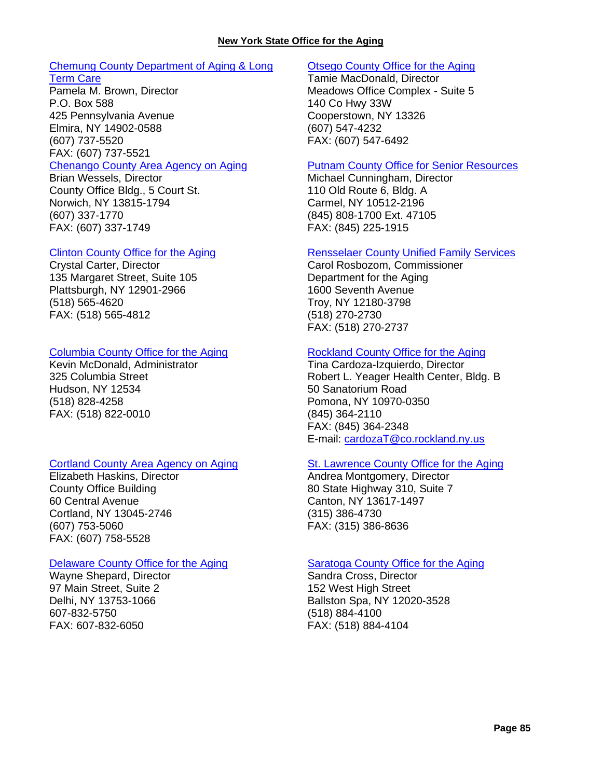#### **New York State Office for the Aging**

### [Chemung County Department of Aging & Long](http://www.chemungcounty.com/index.asp?pageId=184)

[Term Care](http://www.chemungcounty.com/index.asp?pageId=184) Pamela M. Brown, Director P.O. Box 588 425 Pennsylvania Avenue Elmira, NY 14902-0588 (607) 737-5520 FAX: (607) 737-5521

#### [Chenango County Area Agency on Aging](http://www.co.chenango.ny.us/AAOA/)

Brian Wessels, Director County Office Bldg., 5 Court St. Norwich, NY 13815-1794 (607) 337-1770 FAX: (607) 337-1749

#### [Clinton County Office for the Aging](http://www.clintoncountygov.com/Departments/Aging/OFA-Home.html)

Crystal Carter, Director 135 Margaret Street, Suite 105 Plattsburgh, NY 12901-2966 (518) 565-4620 FAX: (518) 565-4812

#### [Columbia County Office for the Aging](http://www.columbiacountyny.com/depts/ofa/)

Kevin McDonald, Administrator 325 Columbia Street Hudson, NY 12534 (518) 828-4258 FAX: (518) 822-0010

#### [Cortland County Area Agency on Aging](http://www.cortland-co.org/434/Area-Agency-on-Aging)

Elizabeth Haskins, Director County Office Building 60 Central Avenue Cortland, NY 13045-2746 (607) 753-5060 FAX: (607) 758-5528

#### [Delaware County Office for the Aging](http://www.co.delaware.ny.us/departments/ofa/ofa.htm)

Wayne Shepard, Director 97 Main Street, Suite 2 Delhi, NY 13753-1066 607-832-5750 FAX: 607-832-6050

#### [Otsego County Office for the Aging](http://www.otsegocounty.com/depts/ofa/)

Tamie MacDonald, Director Meadows Office Complex - Suite 5 140 Co Hwy 33W Cooperstown, NY 13326 (607) 547-4232 FAX: (607) 547-6492

#### [Putnam County Office for Senior Resources](http://www.putnamcountyny.com/osr/)

Michael Cunningham, Director 110 Old Route 6, Bldg. A Carmel, NY 10512-2196 (845) 808-1700 Ext. 47105 FAX: (845) 225-1915

#### [Rensselaer County Unified Family Services](http://www.rensco.com/departments_aging.asp)

Carol Rosbozom, Commissioner Department for the Aging 1600 Seventh Avenue Troy, NY 12180-3798 (518) 270-2730 FAX: (518) 270-2737

#### [Rockland County Office for the Aging](http://rocklandgov.com/departments/aging/)

Tina Cardoza-Izquierdo, Director Robert L. Yeager Health Center, Bldg. B 50 Sanatorium Road Pomona, NY 10970-0350 (845) 364-2110 FAX: (845) 364-2348 E-mail: [cardozaT@co.rockland.ny.us](mailto:cardozaT@co.rockland.ny.us)

#### [St. Lawrence County Office for the Aging](http://www.co.st-lawrence.ny.us/Office_For_the_Aging/SLCOOA.htm)

Andrea Montgomery, Director 80 State Highway 310, Suite 7 Canton, NY 13617-1497 (315) 386-4730 FAX: (315) 386-8636

#### [Saratoga County Office for the Aging](http://www.saratogacountyny.gov/?page_id=1168)

Sandra Cross, Director 152 West High Street Ballston Spa, NY 12020-3528 (518) 884-4100 FAX: (518) 884-4104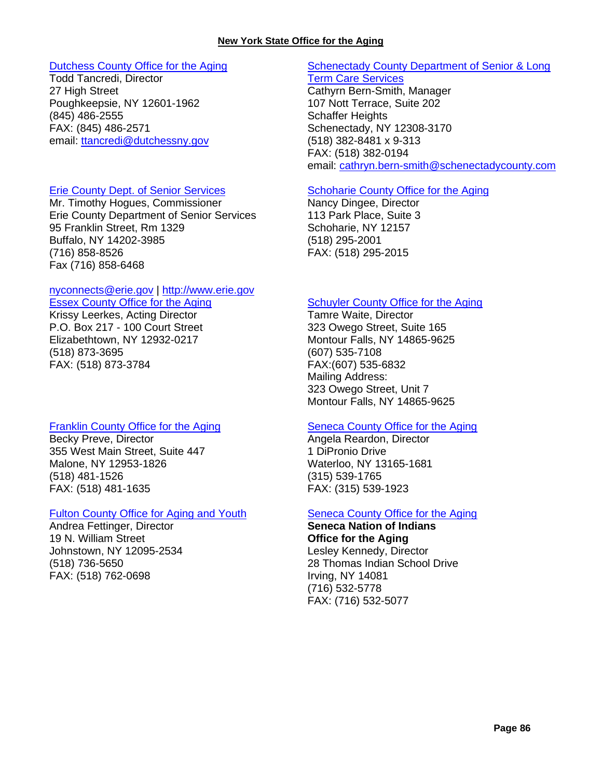#### **New York State Office for the Aging**

#### [Dutchess County Office for the Aging](http://www.co.dutchess.ny.us/Countygov/departments/aging/agindex.htm)

Todd Tancredi, Director 27 High Street Poughkeepsie, NY 12601-1962 (845) 486-2555 FAX: (845) 486-2571 email: [ttancredi@dutchessny.gov](mailto:ttancredi@dutchessny.gov)

#### Erie County [Dept. of Senior Services](http://www.erie.gov/depts/seniorservices/)

Mr. Timothy Hogues, Commissioner Erie County Department of Senior Services 95 Franklin Street, Rm 1329 Buffalo, NY 14202-3985 (716) 858-8526 Fax (716) 858-6468

#### [nyconnects@erie.gov](mailto:nyconnects@erie.gov) | [http://www.erie.gov](http://www.erie.gov/)

Essex County Office for the Aging Krissy Leerkes, Acting Director P.O. Box 217 - 100 Court Street Elizabethtown, NY 12932-0217 (518) 873-3695 FAX: (518) 873-3784

#### [Franklin County Office for the Aging](http://franklincony.org/content/Departments/View/17)

Becky Preve, Director 355 West Main Street, Suite 447 Malone, NY 12953-1826 (518) 481-1526 FAX: (518) 481-1635

#### [Fulton County Office for Aging and Youth](http://www.fcofa.org/)

Andrea Fettinger, Director 19 N. William Street Johnstown, NY 12095-2534 (518) 736-5650 FAX: (518) 762-0698

#### [Schenectady County Department of Senior & Long](http://www.schenectadycounty.com/SLTC)  [Term Care Services](http://www.schenectadycounty.com/SLTC)

Cathyrn Bern-Smith, Manager 107 Nott Terrace, Suite 202 Schaffer Heights Schenectady, NY 12308-3170 (518) 382-8481 x 9-313 FAX: (518) 382-0194 email: [cathryn.bern-smith@schenectadycounty.com](mailto:cathryn.bern-smith@schenectadycounty.com)

#### [Schoharie County Office for the Aging](http://www.schohariecounty-ny.gov/CountyWebSite/OfficefortheAging/ofahome.html)

Nancy Dingee, Director 113 Park Place, Suite 3 Schoharie, NY 12157 (518) 295-2001 FAX: (518) 295-2015

#### [Schuyler County Office for the Aging](http://www.schuylercounty.us/index.aspx?NID=157)

Tamre Waite, Director 323 Owego Street, Suite 165 Montour Falls, NY 14865-9625 (607) 535-7108 FAX:(607) 535-6832 Mailing Address: 323 Owego Street, Unit 7 Montour Falls, NY 14865-9625

#### [Seneca County Office for the Aging](http://www.co.seneca.ny.us/departments/community-services/office-for-the-aging/)

Angela Reardon, Director 1 DiPronio Drive Waterloo, NY 13165-1681 (315) 539-1765 FAX: (315) 539-1923

#### [Seneca County Office for the Aging](http://www.co.seneca.ny.us/departments/community-services/office-for-the-aging/)

**Seneca Nation of Indians Office for the Aging** Lesley Kennedy, Director 28 Thomas Indian School Drive Irving, NY 14081 (716) 532-5778 FAX: (716) 532-5077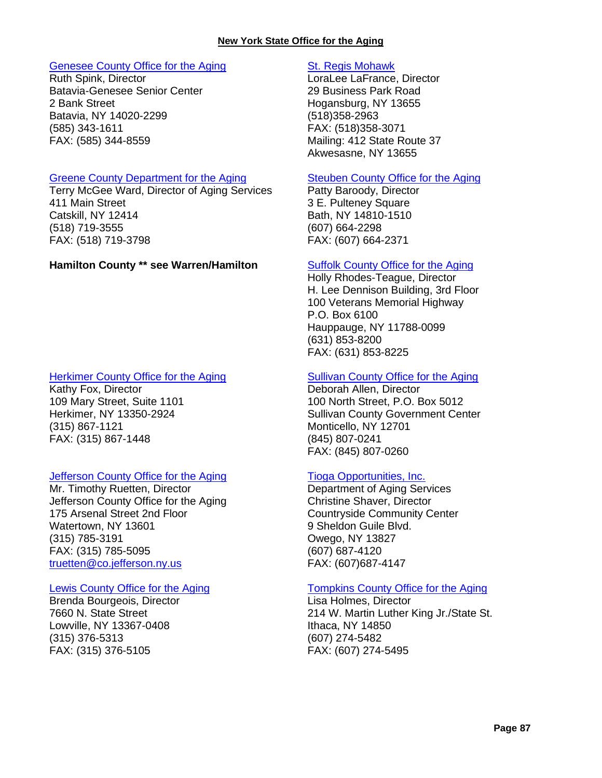#### **New York State Office for the Aging**

#### [Genesee County Office for the Aging](http://www.co.genesee.ny.us/departments/office_for_the_aging/index.html)

Ruth Spink, Director Batavia-Genesee Senior Center 2 Bank Street Batavia, NY 14020-2299 (585) 343-1611 FAX: (585) 344-8559

#### [Greene County Department for the Aging](http://greenegovernment.com/departments/human-services/)

Terry McGee Ward, Director of Aging Services 411 Main Street Catskill, NY 12414 (518) 719-3555 FAX: (518) 719-3798

#### **Hamilton County \*\* see Warren/Hamilton [Suffolk County Office for the Aging](http://www.suffolkcountyny.gov/Departments/CountyExecutive/OfficefortheAging.aspx)**

#### [Herkimer County Office for the Aging](http://herkimercounty.org/content/Departments/View/3)

Kathy Fox, Director 109 Mary Street, Suite 1101 Herkimer, NY 13350-2924 (315) 867-1121 FAX: (315) 867-1448

#### [Jefferson County Office for the Aging](http://www.co.jefferson.ny.us/index.aspx?page=45)

Mr. Timothy Ruetten, Director Jefferson County Office for the Aging 175 Arsenal Street 2nd Floor Watertown, NY 13601 (315) 785-3191 FAX: (315) 785-5095 [truetten@co.jefferson.ny.us](mailto:truetten@co.jefferson.ny.us)

#### [Lewis County Office for the Aging](http://www.lewiscountyny.org/content/Departments/View/13)

Brenda Bourgeois, Director 7660 N. State Street Lowville, NY 13367-0408 (315) 376-5313 FAX: (315) 376-5105

#### [St. Regis Mohawk](http://www.srmt-nsn.gov/divisions/office_for_the_aging)

LoraLee LaFrance, Director 29 Business Park Road Hogansburg, NY 13655 (518)358-2963 FAX: (518)358-3071 Mailing: 412 State Route 37 Akwesasne, NY 13655

#### [Steuben County Office for the Aging](http://www.steubencony.org/Pages.asp?PGID=31)

Patty Baroody, Director 3 E. Pulteney Square Bath, NY 14810-1510 (607) 664-2298 FAX: (607) 664-2371

Holly Rhodes-Teague, Director H. Lee Dennison Building, 3rd Floor 100 Veterans Memorial Highway P.O. Box 6100 Hauppauge, NY 11788-0099 (631) 853-8200 FAX: (631) 853-8225

#### [Sullivan County Office for the Aging](http://www.co.sullivan.ny.us/orgMain.asp?sid=&orgId=472)

Deborah Allen, Director 100 North Street, P.O. Box 5012 Sullivan County Government Center Monticello, NY 12701 (845) 807-0241 FAX: (845) 807-0260

#### [Tioga Opportunities, Inc.](http://tiogaopp.org/services/aging-services.html)

Department of Aging Services Christine Shaver, Director Countryside Community Center 9 Sheldon Guile Blvd. Owego, NY 13827 (607) 687-4120 FAX: (607)687-4147

#### [Tompkins County Office for the Aging](http://www.tompkins-co.org/cofa/)

Lisa Holmes, Director 214 W. Martin Luther King Jr./State St. Ithaca, NY 14850 (607) 274-5482 FAX: (607) 274-5495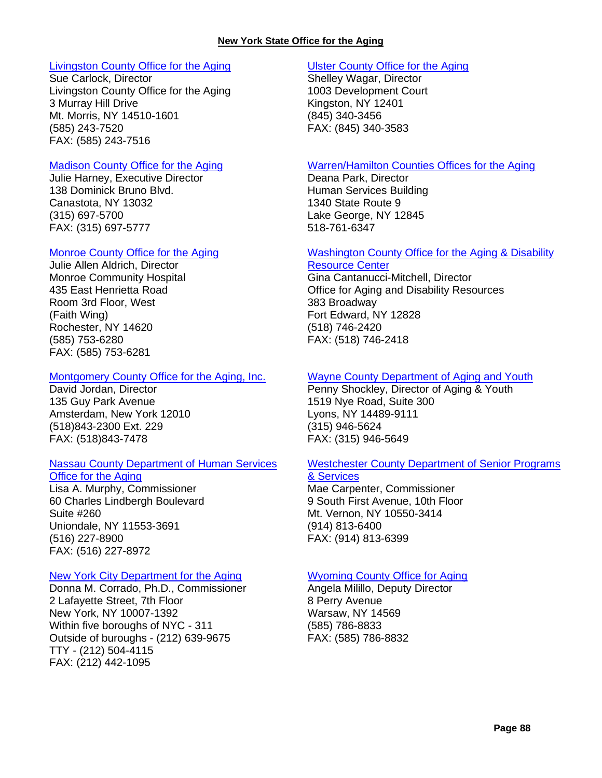#### [Livingston County Office for the Aging](http://www.co.livingston.state.ny.us/ofa.htm)

Sue Carlock, Director Livingston County Office for the Aging 3 Murray Hill Drive Mt. Morris, NY 14510-1601 (585) 243-7520 FAX: (585) 243-7516

#### [Madison County Office for the Aging](http://www.ofamadco.org/)

Julie Harney, Executive Director 138 Dominick Bruno Blvd. Canastota, NY 13032 (315) 697-5700 FAX: (315) 697-5777

#### [Monroe County Office for the Aging](http://www.monroecounty.gov/aging-index.php)

Julie Allen Aldrich, Director Monroe Community Hospital 435 East Henrietta Road Room 3rd Floor, West (Faith Wing) Rochester, NY 14620 (585) 753-6280 FAX: (585) 753-6281

#### [Montgomery County Office for the Aging, Inc.](http://officeforaging.com/)

David Jordan, Director 135 Guy Park Avenue Amsterdam, New York 12010 (518)843-2300 Ext. 229 FAX: (518)843-7478

### [Nassau County Department of Human Services](http://www.nassaucountyny.gov/agencies/Seniors/index.html)

#### [Office for the Aging](http://www.nassaucountyny.gov/agencies/Seniors/index.html)

Lisa A. Murphy, Commissioner 60 Charles Lindbergh Boulevard Suite #260 Uniondale, NY 11553-3691 (516) 227-8900 FAX: (516) 227-8972

#### [New York City Department for the Aging](http://www.nyc.gov/html/dfta/html/home/home.shtml)

Donna M. Corrado, Ph.D., Commissioner 2 Lafayette Street, 7th Floor New York, NY 10007-1392 Within five boroughs of NYC - 311 Outside of buroughs - (212) 639-9675 TTY - (212) 504-4115 FAX: (212) 442-1095

#### [Ulster County Office for the Aging](http://www.co.ulster.ny.us/aging/)

Shelley Wagar, Director 1003 Development Court Kingston, NY 12401 (845) 340-3456 FAX: (845) 340-3583

#### [Warren/Hamilton Counties Offices for the Aging](http://www.warrencountyny.gov/ofa/)

Deana Park, Director Human Services Building 1340 State Route 9 Lake George, NY 12845 518-761-6347

### [Washington County Office for the Aging & Disability](http://www.co.washington.ny.us/Departments/Ofa/ofa1.htm)

[Resource Center](http://www.co.washington.ny.us/Departments/Ofa/ofa1.htm) Gina Cantanucci-Mitchell, Director Office for Aging and Disability Resources 383 Broadway Fort Edward, NY 12828

(518) 746-2420 FAX: (518) 746-2418

#### [Wayne County Department of Aging and Youth](http://www.co.wayne.ny.us/departments/AgeYouth/ageyouth.htm)

Penny Shockley, Director of Aging & Youth 1519 Nye Road, Suite 300 Lyons, NY 14489-9111 (315) 946-5624 FAX: (315) 946-5649

#### [Westchester County Department of Senior Programs](http://seniorcitizens.westchestergov.com/)

### [& Services](http://seniorcitizens.westchestergov.com/)

Mae Carpenter, Commissioner 9 South First Avenue, 10th Floor Mt. Vernon, NY 10550-3414 (914) 813-6400 FAX: (914) 813-6399

#### [Wyoming County Office for Aging](http://www.wyomingco.net/OFA/main.html)

Angela Milillo, Deputy Director 8 Perry Avenue Warsaw, NY 14569 (585) 786-8833 FAX: (585) 786-8832